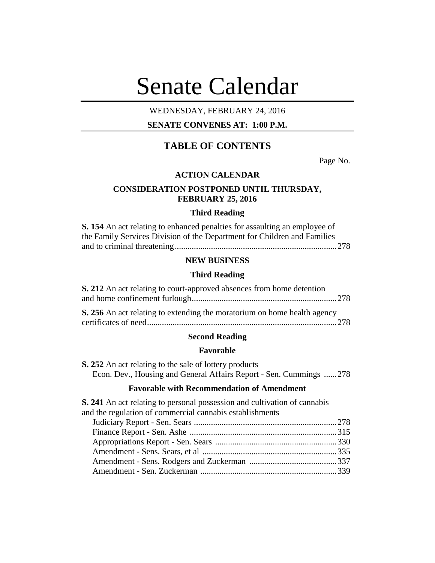# Senate Calendar

## WEDNESDAY, FEBRUARY 24, 2016

# **SENATE CONVENES AT: 1:00 P.M.**

# **TABLE OF CONTENTS**

Page No.

## **ACTION CALENDAR**

## **CONSIDERATION POSTPONED UNTIL THURSDAY, FEBRUARY 25, 2016**

#### **Third Reading**

| <b>S.</b> 154 An act relating to enhanced penalties for assaulting an employee of |
|-----------------------------------------------------------------------------------|
| the Family Services Division of the Department for Children and Families          |
|                                                                                   |

## **NEW BUSINESS**

#### **Third Reading**

| S. 212 An act relating to court-approved absences from home detention    |  |
|--------------------------------------------------------------------------|--|
|                                                                          |  |
| S. 256 An act relating to extending the moratorium on home health agency |  |

#### **Second Reading**

#### **Favorable**

**S. 252** An act relating to the sale of lottery products Econ. Dev., Housing and General Affairs Report - Sen. Cummings ......278

#### **Favorable with Recommendation of Amendment**

**S. 241** An act relating to personal possession and cultivation of cannabis and the regulation of commercial cannabis establishments Judiciary Report - Sen. Sears ...................................................................278 Finance Report - Sen. Ashe .....................................................................315 Appropriations Report - Sen. Sears .........................................................330 Amendment - Sens. Sears, et al ...............................................................335 Amendment - Sens. Rodgers and Zuckerman .........................................337 Amendment - Sen. Zuckerman ................................................................339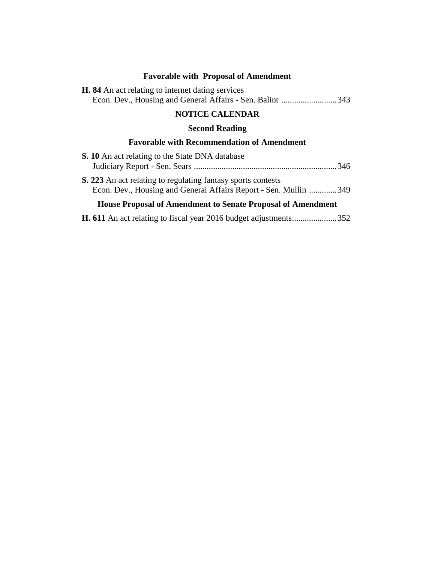# **Favorable with Proposal of Amendment**

| <b>H.</b> 84 An act relating to internet dating services  |  |
|-----------------------------------------------------------|--|
| Econ. Dev., Housing and General Affairs - Sen. Balint 343 |  |

# **NOTICE CALENDAR**

# **Second Reading**

# **Favorable with Recommendation of Amendment**

| <b>S. 10</b> An act relating to the State DNA database                                                                           |  |
|----------------------------------------------------------------------------------------------------------------------------------|--|
|                                                                                                                                  |  |
| S. 223 An act relating to regulating fantasy sports contests<br>Econ. Dev., Housing and General Affairs Report - Sen. Mullin 349 |  |
| <b>House Proposal of Amendment to Senate Proposal of Amendment</b>                                                               |  |

**H. 611** An act relating to fiscal year 2016 budget adjustments.....................352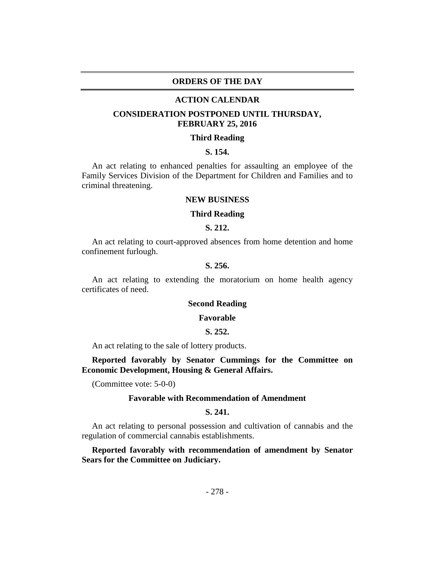#### **ORDERS OF THE DAY**

#### **ACTION CALENDAR**

## **CONSIDERATION POSTPONED UNTIL THURSDAY, FEBRUARY 25, 2016**

#### **Third Reading**

#### **S. 154.**

An act relating to enhanced penalties for assaulting an employee of the Family Services Division of the Department for Children and Families and to criminal threatening.

## **NEW BUSINESS**

#### **Third Reading**

#### **S. 212.**

An act relating to court-approved absences from home detention and home confinement furlough.

## **S. 256.**

An act relating to extending the moratorium on home health agency certificates of need.

#### **Second Reading**

#### **Favorable**

#### **S. 252.**

An act relating to the sale of lottery products.

**Reported favorably by Senator Cummings for the Committee on Economic Development, Housing & General Affairs.**

(Committee vote: 5-0-0)

#### **Favorable with Recommendation of Amendment**

#### **S. 241.**

An act relating to personal possession and cultivation of cannabis and the regulation of commercial cannabis establishments.

**Reported favorably with recommendation of amendment by Senator Sears for the Committee on Judiciary.**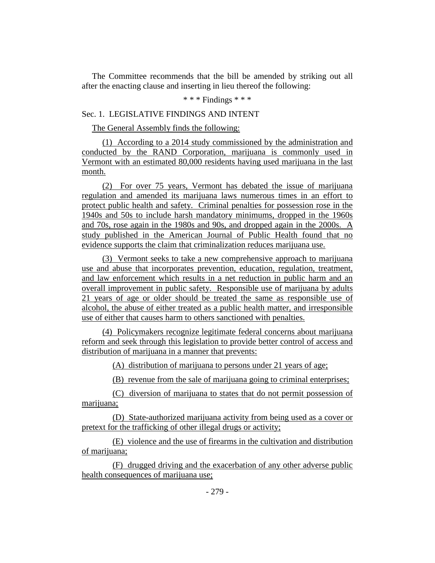The Committee recommends that the bill be amended by striking out all after the enacting clause and inserting in lieu thereof the following:

#### \* \* \* Findings \* \* \*

## Sec. 1. LEGISLATIVE FINDINGS AND INTENT

The General Assembly finds the following:

(1) According to a 2014 study commissioned by the administration and conducted by the RAND Corporation, marijuana is commonly used in Vermont with an estimated 80,000 residents having used marijuana in the last month.

(2) For over 75 years, Vermont has debated the issue of marijuana regulation and amended its marijuana laws numerous times in an effort to protect public health and safety. Criminal penalties for possession rose in the 1940s and 50s to include harsh mandatory minimums, dropped in the 1960s and 70s, rose again in the 1980s and 90s, and dropped again in the 2000s. A study published in the American Journal of Public Health found that no evidence supports the claim that criminalization reduces marijuana use.

(3) Vermont seeks to take a new comprehensive approach to marijuana use and abuse that incorporates prevention, education, regulation, treatment, and law enforcement which results in a net reduction in public harm and an overall improvement in public safety. Responsible use of marijuana by adults 21 years of age or older should be treated the same as responsible use of alcohol, the abuse of either treated as a public health matter, and irresponsible use of either that causes harm to others sanctioned with penalties.

(4) Policymakers recognize legitimate federal concerns about marijuana reform and seek through this legislation to provide better control of access and distribution of marijuana in a manner that prevents:

(A) distribution of marijuana to persons under 21 years of age;

(B) revenue from the sale of marijuana going to criminal enterprises;

(C) diversion of marijuana to states that do not permit possession of marijuana;

(D) State-authorized marijuana activity from being used as a cover or pretext for the trafficking of other illegal drugs or activity;

(E) violence and the use of firearms in the cultivation and distribution of marijuana;

(F) drugged driving and the exacerbation of any other adverse public health consequences of marijuana use;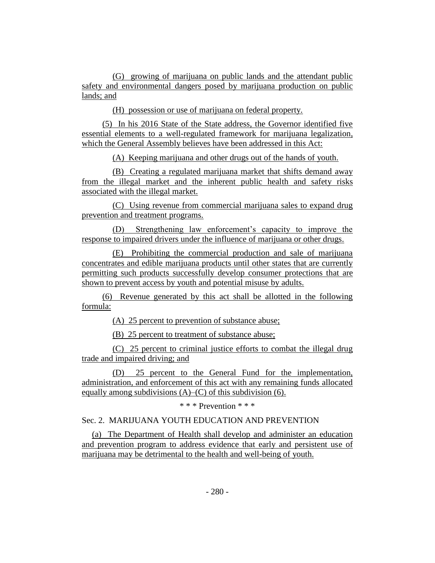(G) growing of marijuana on public lands and the attendant public safety and environmental dangers posed by marijuana production on public lands; and

(H) possession or use of marijuana on federal property.

(5) In his 2016 State of the State address, the Governor identified five essential elements to a well-regulated framework for marijuana legalization, which the General Assembly believes have been addressed in this Act:

(A) Keeping marijuana and other drugs out of the hands of youth.

(B) Creating a regulated marijuana market that shifts demand away from the illegal market and the inherent public health and safety risks associated with the illegal market.

(C) Using revenue from commercial marijuana sales to expand drug prevention and treatment programs.

(D) Strengthening law enforcement's capacity to improve the response to impaired drivers under the influence of marijuana or other drugs.

(E) Prohibiting the commercial production and sale of marijuana concentrates and edible marijuana products until other states that are currently permitting such products successfully develop consumer protections that are shown to prevent access by youth and potential misuse by adults.

(6) Revenue generated by this act shall be allotted in the following formula:

(A) 25 percent to prevention of substance abuse;

(B) 25 percent to treatment of substance abuse;

(C) 25 percent to criminal justice efforts to combat the illegal drug trade and impaired driving; and

(D) 25 percent to the General Fund for the implementation, administration, and enforcement of this act with any remaining funds allocated equally among subdivisions  $(A)$ – $(C)$  of this subdivision (6).

\* \* \* Prevention \* \* \*

Sec. 2. MARIJUANA YOUTH EDUCATION AND PREVENTION

(a) The Department of Health shall develop and administer an education and prevention program to address evidence that early and persistent use of marijuana may be detrimental to the health and well-being of youth.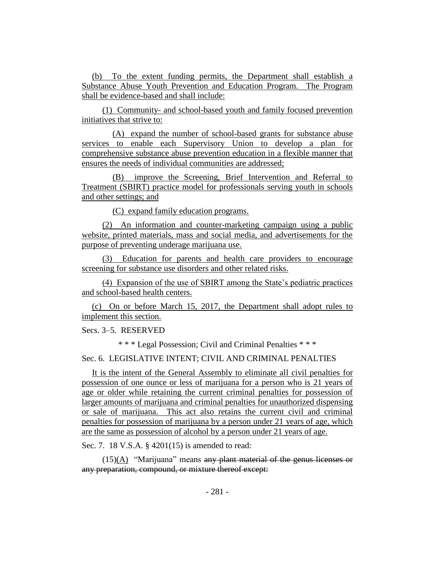(b) To the extent funding permits, the Department shall establish a Substance Abuse Youth Prevention and Education Program. The Program shall be evidence-based and shall include:

(1) Community- and school-based youth and family focused prevention initiatives that strive to:

(A) expand the number of school-based grants for substance abuse services to enable each Supervisory Union to develop a plan for comprehensive substance abuse prevention education in a flexible manner that ensures the needs of individual communities are addressed;

(B) improve the Screening, Brief Intervention and Referral to Treatment (SBIRT) practice model for professionals serving youth in schools and other settings; and

(C) expand family education programs.

(2) An information and counter-marketing campaign using a public website, printed materials, mass and social media, and advertisements for the purpose of preventing underage marijuana use.

(3) Education for parents and health care providers to encourage screening for substance use disorders and other related risks.

(4) Expansion of the use of SBIRT among the State's pediatric practices and school-based health centers.

(c) On or before March 15, 2017, the Department shall adopt rules to implement this section.

Secs. 3–5. RESERVED

\* \* \* Legal Possession; Civil and Criminal Penalties \* \* \*

Sec. 6. LEGISLATIVE INTENT; CIVIL AND CRIMINAL PENALTIES

It is the intent of the General Assembly to eliminate all civil penalties for possession of one ounce or less of marijuana for a person who is 21 years of age or older while retaining the current criminal penalties for possession of larger amounts of marijuana and criminal penalties for unauthorized dispensing or sale of marijuana. This act also retains the current civil and criminal penalties for possession of marijuana by a person under 21 years of age, which are the same as possession of alcohol by a person under 21 years of age.

Sec. 7. 18 V.S.A. § 4201(15) is amended to read:

 $(15)(A)$  "Marijuana" means any plant material of the genus licenses or any preparation, compound, or mixture thereof except: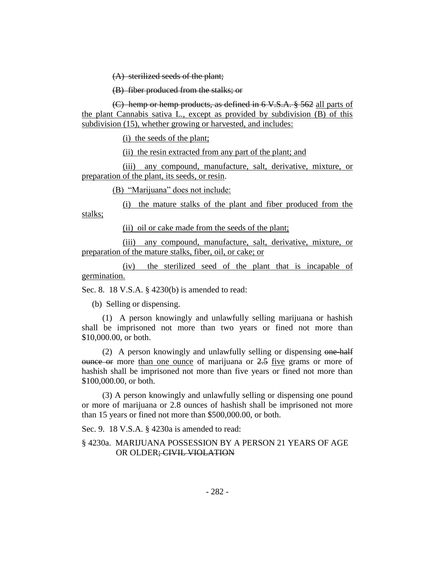(A) sterilized seeds of the plant;

(B) fiber produced from the stalks; or

(C) hemp or hemp products, as defined in 6 V.S.A. § 562 all parts of the plant Cannabis sativa L., except as provided by subdivision (B) of this subdivision (15), whether growing or harvested, and includes:

(i) the seeds of the plant;

(ii) the resin extracted from any part of the plant; and

(iii) any compound, manufacture, salt, derivative, mixture, or preparation of the plant, its seeds, or resin.

(B) "Marijuana" does not include:

(i) the mature stalks of the plant and fiber produced from the stalks;

(ii) oil or cake made from the seeds of the plant;

(iii) any compound, manufacture, salt, derivative, mixture, or preparation of the mature stalks, fiber, oil, or cake; or

(iv) the sterilized seed of the plant that is incapable of germination.

Sec. 8. 18 V.S.A. § 4230(b) is amended to read:

(b) Selling or dispensing.

(1) A person knowingly and unlawfully selling marijuana or hashish shall be imprisoned not more than two years or fined not more than \$10,000.00, or both.

(2) A person knowingly and unlawfully selling or dispensing one-half  $\theta$  ounce or more than one ounce of marijuana or  $2.5$  five grams or more of hashish shall be imprisoned not more than five years or fined not more than \$100,000.00, or both.

(3) A person knowingly and unlawfully selling or dispensing one pound or more of marijuana or 2.8 ounces of hashish shall be imprisoned not more than 15 years or fined not more than \$500,000.00, or both.

Sec. 9. 18 V.S.A. § 4230a is amended to read:

§ 4230a. MARIJUANA POSSESSION BY A PERSON 21 YEARS OF AGE OR OLDER; CIVIL VIOLATION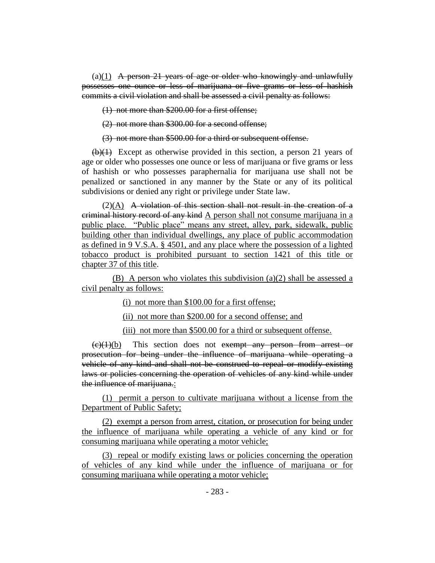$(a)(1)$  A person 21 years of age or older who knowingly and unlawfully possesses one ounce or less of marijuana or five grams or less of hashish commits a civil violation and shall be assessed a civil penalty as follows:

(1) not more than \$200.00 for a first offense;

(2) not more than \$300.00 for a second offense;

(3) not more than \$500.00 for a third or subsequent offense.

 $(b)(1)$  Except as otherwise provided in this section, a person 21 years of age or older who possesses one ounce or less of marijuana or five grams or less of hashish or who possesses paraphernalia for marijuana use shall not be penalized or sanctioned in any manner by the State or any of its political subdivisions or denied any right or privilege under State law.

 $(2)$ (A) A violation of this section shall not result in the creation of a criminal history record of any kind A person shall not consume marijuana in a public place. "Public place" means any street, alley, park, sidewalk, public building other than individual dwellings, any place of public accommodation as defined in 9 V.S.A. § 4501, and any place where the possession of a lighted tobacco product is prohibited pursuant to section 1421 of this title or chapter 37 of this title.

(B) A person who violates this subdivision (a)(2) shall be assessed a civil penalty as follows:

(i) not more than \$100.00 for a first offense;

(ii) not more than \$200.00 for a second offense; and

(iii) not more than \$500.00 for a third or subsequent offense.

 $(e)(1)(b)$  This section does not exempt any person from arrest or prosecution for being under the influence of marijuana while operating a vehicle of any kind and shall not be construed to repeal or modify existing laws or policies concerning the operation of vehicles of any kind while under the influence of marijuana.:

(1) permit a person to cultivate marijuana without a license from the Department of Public Safety;

(2) exempt a person from arrest, citation, or prosecution for being under the influence of marijuana while operating a vehicle of any kind or for consuming marijuana while operating a motor vehicle;

(3) repeal or modify existing laws or policies concerning the operation of vehicles of any kind while under the influence of marijuana or for consuming marijuana while operating a motor vehicle;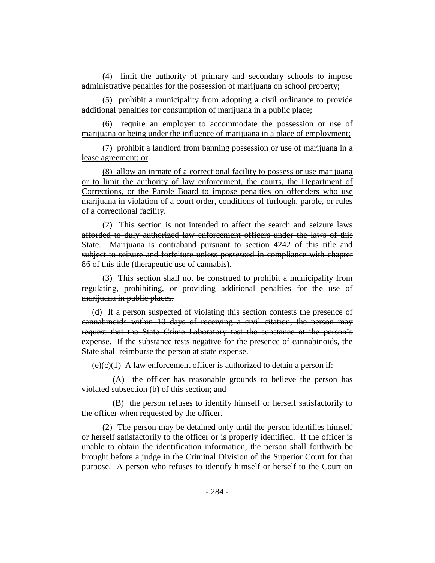(4) limit the authority of primary and secondary schools to impose administrative penalties for the possession of marijuana on school property;

(5) prohibit a municipality from adopting a civil ordinance to provide additional penalties for consumption of marijuana in a public place;

(6) require an employer to accommodate the possession or use of marijuana or being under the influence of marijuana in a place of employment;

(7) prohibit a landlord from banning possession or use of marijuana in a lease agreement; or

(8) allow an inmate of a correctional facility to possess or use marijuana or to limit the authority of law enforcement, the courts, the Department of Corrections, or the Parole Board to impose penalties on offenders who use marijuana in violation of a court order, conditions of furlough, parole, or rules of a correctional facility.

(2) This section is not intended to affect the search and seizure laws afforded to duly authorized law enforcement officers under the laws of this State. Marijuana is contraband pursuant to section 4242 of this title and subject to seizure and forfeiture unless possessed in compliance with chapter 86 of this title (therapeutic use of cannabis).

(3) This section shall not be construed to prohibit a municipality from regulating, prohibiting, or providing additional penalties for the use of marijuana in public places.

(d) If a person suspected of violating this section contests the presence of cannabinoids within 10 days of receiving a civil citation, the person may request that the State Crime Laboratory test the substance at the person's expense. If the substance tests negative for the presence of cannabinoids, the State shall reimburse the person at state expense.

 $(e)(c)(1)$  A law enforcement officer is authorized to detain a person if:

(A) the officer has reasonable grounds to believe the person has violated subsection (b) of this section; and

(B) the person refuses to identify himself or herself satisfactorily to the officer when requested by the officer.

(2) The person may be detained only until the person identifies himself or herself satisfactorily to the officer or is properly identified. If the officer is unable to obtain the identification information, the person shall forthwith be brought before a judge in the Criminal Division of the Superior Court for that purpose. A person who refuses to identify himself or herself to the Court on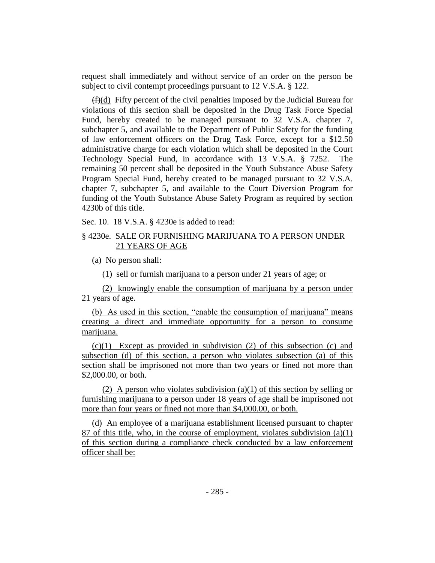request shall immediately and without service of an order on the person be subject to civil contempt proceedings pursuant to 12 V.S.A. § 122.

 $(f)(d)$  Fifty percent of the civil penalties imposed by the Judicial Bureau for violations of this section shall be deposited in the Drug Task Force Special Fund, hereby created to be managed pursuant to 32 V.S.A. chapter 7, subchapter 5, and available to the Department of Public Safety for the funding of law enforcement officers on the Drug Task Force, except for a \$12.50 administrative charge for each violation which shall be deposited in the Court Technology Special Fund, in accordance with 13 V.S.A. § 7252. The remaining 50 percent shall be deposited in the Youth Substance Abuse Safety Program Special Fund, hereby created to be managed pursuant to 32 V.S.A. chapter 7, subchapter 5, and available to the Court Diversion Program for funding of the Youth Substance Abuse Safety Program as required by section 4230b of this title.

Sec. 10. 18 V.S.A. § 4230e is added to read:

## § 4230e. SALE OR FURNISHING MARIJUANA TO A PERSON UNDER 21 YEARS OF AGE

(a) No person shall:

(1) sell or furnish marijuana to a person under 21 years of age; or

(2) knowingly enable the consumption of marijuana by a person under 21 years of age.

(b) As used in this section, "enable the consumption of marijuana" means creating a direct and immediate opportunity for a person to consume marijuana.

(c)(1) Except as provided in subdivision (2) of this subsection (c) and subsection (d) of this section, a person who violates subsection (a) of this section shall be imprisoned not more than two years or fined not more than \$2,000.00, or both.

(2) A person who violates subdivision (a)(1) of this section by selling or furnishing marijuana to a person under 18 years of age shall be imprisoned not more than four years or fined not more than \$4,000.00, or both.

(d) An employee of a marijuana establishment licensed pursuant to chapter 87 of this title, who, in the course of employment, violates subdivision (a)(1) of this section during a compliance check conducted by a law enforcement officer shall be: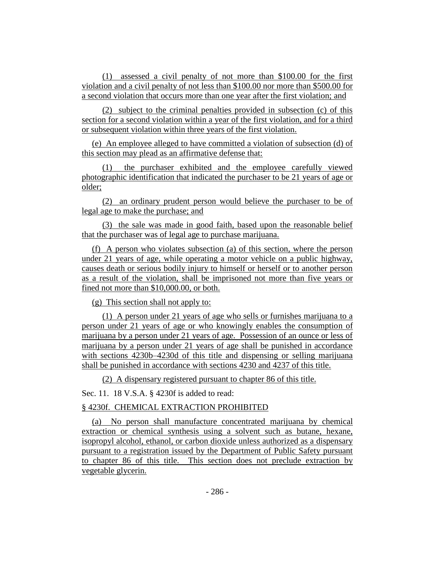(1) assessed a civil penalty of not more than \$100.00 for the first violation and a civil penalty of not less than \$100.00 nor more than \$500.00 for a second violation that occurs more than one year after the first violation; and

(2) subject to the criminal penalties provided in subsection (c) of this section for a second violation within a year of the first violation, and for a third or subsequent violation within three years of the first violation.

(e) An employee alleged to have committed a violation of subsection (d) of this section may plead as an affirmative defense that:

the purchaser exhibited and the employee carefully viewed photographic identification that indicated the purchaser to be 21 years of age or older;

(2) an ordinary prudent person would believe the purchaser to be of legal age to make the purchase; and

(3) the sale was made in good faith, based upon the reasonable belief that the purchaser was of legal age to purchase marijuana.

(f) A person who violates subsection (a) of this section, where the person under 21 years of age, while operating a motor vehicle on a public highway, causes death or serious bodily injury to himself or herself or to another person as a result of the violation, shall be imprisoned not more than five years or fined not more than \$10,000.00, or both.

(g) This section shall not apply to:

(1) A person under 21 years of age who sells or furnishes marijuana to a person under 21 years of age or who knowingly enables the consumption of marijuana by a person under 21 years of age. Possession of an ounce or less of marijuana by a person under 21 years of age shall be punished in accordance with sections 4230b–4230d of this title and dispensing or selling marijuana shall be punished in accordance with sections 4230 and 4237 of this title.

(2) A dispensary registered pursuant to chapter 86 of this title.

Sec. 11. 18 V.S.A. § 4230f is added to read:

# § 4230f. CHEMICAL EXTRACTION PROHIBITED

(a) No person shall manufacture concentrated marijuana by chemical extraction or chemical synthesis using a solvent such as butane, hexane, isopropyl alcohol, ethanol, or carbon dioxide unless authorized as a dispensary pursuant to a registration issued by the Department of Public Safety pursuant to chapter 86 of this title. This section does not preclude extraction by vegetable glycerin.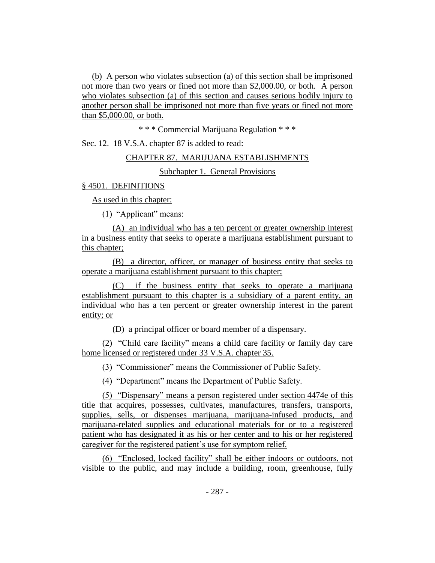(b) A person who violates subsection (a) of this section shall be imprisoned not more than two years or fined not more than \$2,000.00, or both. A person who violates subsection (a) of this section and causes serious bodily injury to another person shall be imprisoned not more than five years or fined not more than \$5,000.00, or both.

\* \* \* Commercial Marijuana Regulation \* \* \*

Sec. 12. 18 V.S.A. chapter 87 is added to read:

## CHAPTER 87. MARIJUANA ESTABLISHMENTS

Subchapter 1. General Provisions

## § 4501. DEFINITIONS

As used in this chapter:

(1) "Applicant" means:

(A) an individual who has a ten percent or greater ownership interest in a business entity that seeks to operate a marijuana establishment pursuant to this chapter;

(B) a director, officer, or manager of business entity that seeks to operate a marijuana establishment pursuant to this chapter;

(C) if the business entity that seeks to operate a marijuana establishment pursuant to this chapter is a subsidiary of a parent entity, an individual who has a ten percent or greater ownership interest in the parent entity; or

(D) a principal officer or board member of a dispensary.

(2) "Child care facility" means a child care facility or family day care home licensed or registered under 33 V.S.A. chapter 35.

(3) "Commissioner" means the Commissioner of Public Safety.

(4) "Department" means the Department of Public Safety.

(5) "Dispensary" means a person registered under section 4474e of this title that acquires, possesses, cultivates, manufactures, transfers, transports, supplies, sells, or dispenses marijuana, marijuana-infused products, and marijuana-related supplies and educational materials for or to a registered patient who has designated it as his or her center and to his or her registered caregiver for the registered patient's use for symptom relief.

(6) "Enclosed, locked facility" shall be either indoors or outdoors, not visible to the public, and may include a building, room, greenhouse, fully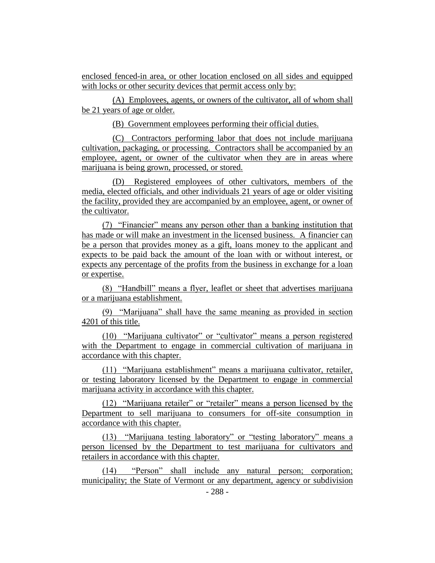enclosed fenced-in area, or other location enclosed on all sides and equipped with locks or other security devices that permit access only by:

(A) Employees, agents, or owners of the cultivator, all of whom shall be 21 years of age or older.

(B) Government employees performing their official duties.

(C) Contractors performing labor that does not include marijuana cultivation, packaging, or processing. Contractors shall be accompanied by an employee, agent, or owner of the cultivator when they are in areas where marijuana is being grown, processed, or stored.

(D) Registered employees of other cultivators, members of the media, elected officials, and other individuals 21 years of age or older visiting the facility, provided they are accompanied by an employee, agent, or owner of the cultivator.

(7) "Financier" means any person other than a banking institution that has made or will make an investment in the licensed business. A financier can be a person that provides money as a gift, loans money to the applicant and expects to be paid back the amount of the loan with or without interest, or expects any percentage of the profits from the business in exchange for a loan or expertise.

(8) "Handbill" means a flyer, leaflet or sheet that advertises marijuana or a marijuana establishment.

(9) "Marijuana" shall have the same meaning as provided in section 4201 of this title.

(10) "Marijuana cultivator" or "cultivator" means a person registered with the Department to engage in commercial cultivation of marijuana in accordance with this chapter.

(11) "Marijuana establishment" means a marijuana cultivator, retailer, or testing laboratory licensed by the Department to engage in commercial marijuana activity in accordance with this chapter.

(12) "Marijuana retailer" or "retailer" means a person licensed by the Department to sell marijuana to consumers for off-site consumption in accordance with this chapter.

(13) "Marijuana testing laboratory" or "testing laboratory" means a person licensed by the Department to test marijuana for cultivators and retailers in accordance with this chapter.

(14) "Person" shall include any natural person; corporation; municipality; the State of Vermont or any department, agency or subdivision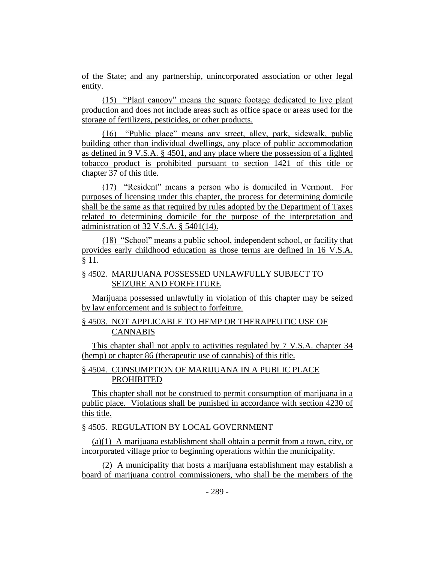of the State; and any partnership, unincorporated association or other legal entity.

(15) "Plant canopy" means the square footage dedicated to live plant production and does not include areas such as office space or areas used for the storage of fertilizers, pesticides, or other products.

(16) "Public place" means any street, alley, park, sidewalk, public building other than individual dwellings, any place of public accommodation as defined in 9 V.S.A. § 4501, and any place where the possession of a lighted tobacco product is prohibited pursuant to section 1421 of this title or chapter 37 of this title.

(17) "Resident" means a person who is domiciled in Vermont. For purposes of licensing under this chapter, the process for determining domicile shall be the same as that required by rules adopted by the Department of Taxes related to determining domicile for the purpose of the interpretation and administration of 32 V.S.A. § 5401(14).

(18) "School" means a public school, independent school, or facility that provides early childhood education as those terms are defined in 16 V.S.A. § 11.

## § 4502. MARIJUANA POSSESSED UNLAWFULLY SUBJECT TO SEIZURE AND FORFEITURE

Marijuana possessed unlawfully in violation of this chapter may be seized by law enforcement and is subject to forfeiture.

## § 4503. NOT APPLICABLE TO HEMP OR THERAPEUTIC USE OF CANNABIS

This chapter shall not apply to activities regulated by 7 V.S.A. chapter 34 (hemp) or chapter 86 (therapeutic use of cannabis) of this title.

# § 4504. CONSUMPTION OF MARIJUANA IN A PUBLIC PLACE PROHIBITED

This chapter shall not be construed to permit consumption of marijuana in a public place. Violations shall be punished in accordance with section 4230 of this title.

# § 4505. REGULATION BY LOCAL GOVERNMENT

(a)(1) A marijuana establishment shall obtain a permit from a town, city, or incorporated village prior to beginning operations within the municipality.

(2) A municipality that hosts a marijuana establishment may establish a board of marijuana control commissioners, who shall be the members of the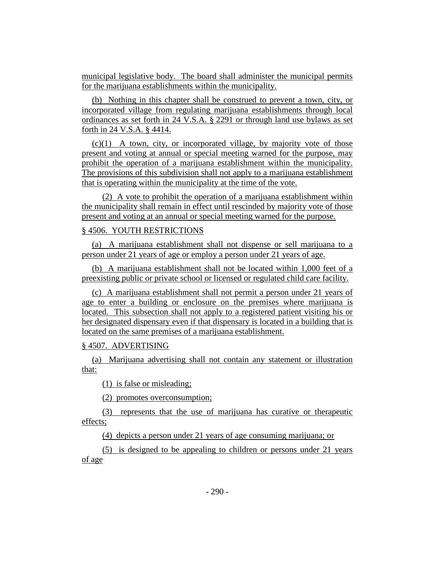municipal legislative body. The board shall administer the municipal permits for the marijuana establishments within the municipality.

(b) Nothing in this chapter shall be construed to prevent a town, city, or incorporated village from regulating marijuana establishments through local ordinances as set forth in 24 V.S.A. § 2291 or through land use bylaws as set forth in 24 V.S.A. § 4414.

 $(c)(1)$  A town, city, or incorporated village, by majority vote of those present and voting at annual or special meeting warned for the purpose, may prohibit the operation of a marijuana establishment within the municipality. The provisions of this subdivision shall not apply to a marijuana establishment that is operating within the municipality at the time of the vote.

(2) A vote to prohibit the operation of a marijuana establishment within the municipality shall remain in effect until rescinded by majority vote of those present and voting at an annual or special meeting warned for the purpose.

#### § 4506. YOUTH RESTRICTIONS

(a) A marijuana establishment shall not dispense or sell marijuana to a person under 21 years of age or employ a person under 21 years of age.

(b) A marijuana establishment shall not be located within 1,000 feet of a preexisting public or private school or licensed or regulated child care facility.

(c) A marijuana establishment shall not permit a person under 21 years of age to enter a building or enclosure on the premises where marijuana is located. This subsection shall not apply to a registered patient visiting his or her designated dispensary even if that dispensary is located in a building that is located on the same premises of a marijuana establishment.

## § 4507. ADVERTISING

(a) Marijuana advertising shall not contain any statement or illustration that:

(1) is false or misleading;

(2) promotes overconsumption;

(3) represents that the use of marijuana has curative or therapeutic effects;

(4) depicts a person under 21 years of age consuming marijuana; or

(5) is designed to be appealing to children or persons under 21 years of age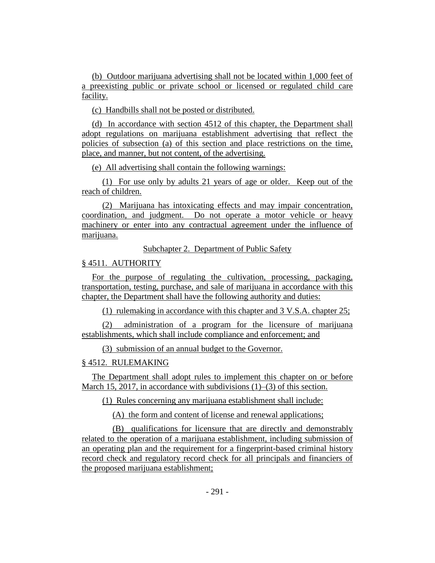(b) Outdoor marijuana advertising shall not be located within 1,000 feet of a preexisting public or private school or licensed or regulated child care facility.

(c) Handbills shall not be posted or distributed.

(d) In accordance with section 4512 of this chapter, the Department shall adopt regulations on marijuana establishment advertising that reflect the policies of subsection (a) of this section and place restrictions on the time, place, and manner, but not content, of the advertising.

(e) All advertising shall contain the following warnings:

(1) For use only by adults 21 years of age or older. Keep out of the reach of children.

(2) Marijuana has intoxicating effects and may impair concentration, coordination, and judgment. Do not operate a motor vehicle or heavy machinery or enter into any contractual agreement under the influence of marijuana.

Subchapter 2. Department of Public Safety

## § 4511. AUTHORITY

For the purpose of regulating the cultivation, processing, packaging, transportation, testing, purchase, and sale of marijuana in accordance with this chapter, the Department shall have the following authority and duties:

(1) rulemaking in accordance with this chapter and 3 V.S.A. chapter 25;

(2) administration of a program for the licensure of marijuana establishments, which shall include compliance and enforcement; and

(3) submission of an annual budget to the Governor.

#### § 4512. RULEMAKING

The Department shall adopt rules to implement this chapter on or before March 15, 2017, in accordance with subdivisions (1)–(3) of this section.

(1) Rules concerning any marijuana establishment shall include:

(A) the form and content of license and renewal applications;

(B) qualifications for licensure that are directly and demonstrably related to the operation of a marijuana establishment, including submission of an operating plan and the requirement for a fingerprint-based criminal history record check and regulatory record check for all principals and financiers of the proposed marijuana establishment;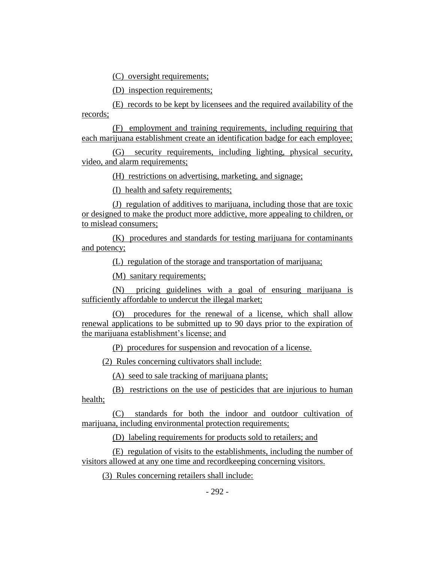(C) oversight requirements;

(D) inspection requirements;

(E) records to be kept by licensees and the required availability of the records;

(F) employment and training requirements, including requiring that each marijuana establishment create an identification badge for each employee;

(G) security requirements, including lighting, physical security, video, and alarm requirements;

(H) restrictions on advertising, marketing, and signage;

(I) health and safety requirements;

(J) regulation of additives to marijuana, including those that are toxic or designed to make the product more addictive, more appealing to children, or to mislead consumers;

(K) procedures and standards for testing marijuana for contaminants and potency;

(L) regulation of the storage and transportation of marijuana;

(M) sanitary requirements;

(N) pricing guidelines with a goal of ensuring marijuana is sufficiently affordable to undercut the illegal market;

(O) procedures for the renewal of a license, which shall allow renewal applications to be submitted up to 90 days prior to the expiration of the marijuana establishment's license; and

(P) procedures for suspension and revocation of a license.

(2) Rules concerning cultivators shall include:

(A) seed to sale tracking of marijuana plants;

(B) restrictions on the use of pesticides that are injurious to human health;

(C) standards for both the indoor and outdoor cultivation of marijuana, including environmental protection requirements;

(D) labeling requirements for products sold to retailers; and

(E) regulation of visits to the establishments, including the number of visitors allowed at any one time and recordkeeping concerning visitors.

(3) Rules concerning retailers shall include: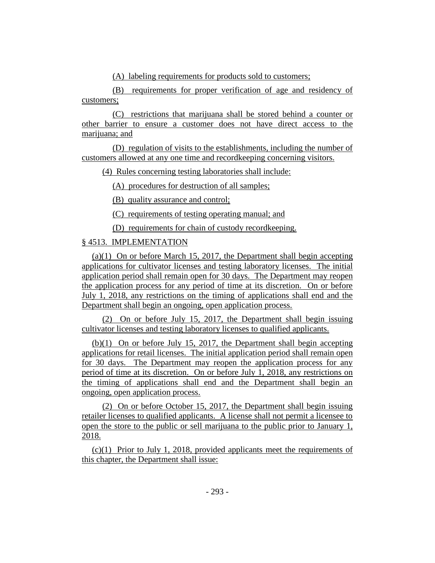(A) labeling requirements for products sold to customers;

(B) requirements for proper verification of age and residency of customers;

(C) restrictions that marijuana shall be stored behind a counter or other barrier to ensure a customer does not have direct access to the marijuana; and

(D) regulation of visits to the establishments, including the number of customers allowed at any one time and recordkeeping concerning visitors.

(4) Rules concerning testing laboratories shall include:

(A) procedures for destruction of all samples;

(B) quality assurance and control;

(C) requirements of testing operating manual; and

(D) requirements for chain of custody recordkeeping.

# § 4513. IMPLEMENTATION

(a)(1) On or before March 15, 2017, the Department shall begin accepting applications for cultivator licenses and testing laboratory licenses. The initial application period shall remain open for 30 days. The Department may reopen the application process for any period of time at its discretion. On or before July 1, 2018, any restrictions on the timing of applications shall end and the Department shall begin an ongoing, open application process.

(2) On or before July 15, 2017, the Department shall begin issuing cultivator licenses and testing laboratory licenses to qualified applicants.

(b)(1) On or before July 15, 2017, the Department shall begin accepting applications for retail licenses. The initial application period shall remain open for 30 days. The Department may reopen the application process for any period of time at its discretion. On or before July 1, 2018, any restrictions on the timing of applications shall end and the Department shall begin an ongoing, open application process.

(2) On or before October 15, 2017, the Department shall begin issuing retailer licenses to qualified applicants. A license shall not permit a licensee to open the store to the public or sell marijuana to the public prior to January 1, 2018.

(c)(1) Prior to July 1, 2018, provided applicants meet the requirements of this chapter, the Department shall issue: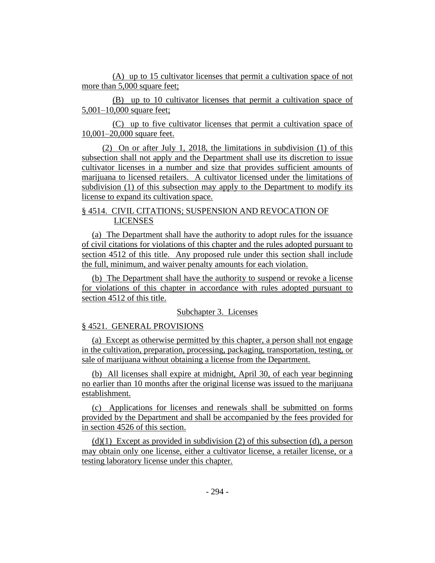(A) up to 15 cultivator licenses that permit a cultivation space of not more than 5,000 square feet;

(B) up to 10 cultivator licenses that permit a cultivation space of 5,001–10,000 square feet;

(C) up to five cultivator licenses that permit a cultivation space of 10,001–20,000 square feet.

(2) On or after July 1, 2018, the limitations in subdivision (1) of this subsection shall not apply and the Department shall use its discretion to issue cultivator licenses in a number and size that provides sufficient amounts of marijuana to licensed retailers. A cultivator licensed under the limitations of subdivision (1) of this subsection may apply to the Department to modify its license to expand its cultivation space.

## § 4514. CIVIL CITATIONS; SUSPENSION AND REVOCATION OF LICENSES

(a) The Department shall have the authority to adopt rules for the issuance of civil citations for violations of this chapter and the rules adopted pursuant to section 4512 of this title. Any proposed rule under this section shall include the full, minimum, and waiver penalty amounts for each violation.

(b) The Department shall have the authority to suspend or revoke a license for violations of this chapter in accordance with rules adopted pursuant to section 4512 of this title.

#### Subchapter 3. Licenses

## § 4521. GENERAL PROVISIONS

(a) Except as otherwise permitted by this chapter, a person shall not engage in the cultivation, preparation, processing, packaging, transportation, testing, or sale of marijuana without obtaining a license from the Department.

(b) All licenses shall expire at midnight, April 30, of each year beginning no earlier than 10 months after the original license was issued to the marijuana establishment.

(c) Applications for licenses and renewals shall be submitted on forms provided by the Department and shall be accompanied by the fees provided for in section 4526 of this section.

 $(d)(1)$  Except as provided in subdivision (2) of this subsection (d), a person may obtain only one license, either a cultivator license, a retailer license, or a testing laboratory license under this chapter.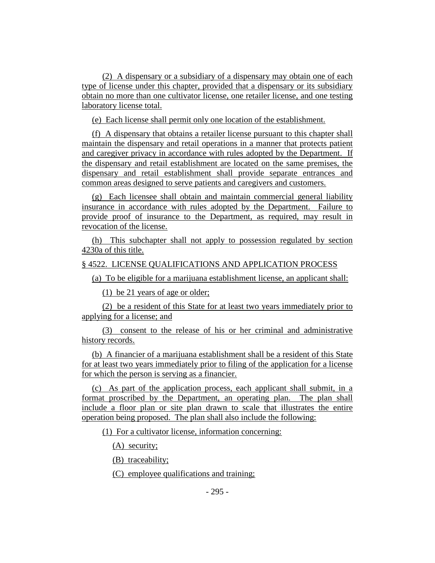(2) A dispensary or a subsidiary of a dispensary may obtain one of each type of license under this chapter, provided that a dispensary or its subsidiary obtain no more than one cultivator license, one retailer license, and one testing laboratory license total.

(e) Each license shall permit only one location of the establishment.

(f) A dispensary that obtains a retailer license pursuant to this chapter shall maintain the dispensary and retail operations in a manner that protects patient and caregiver privacy in accordance with rules adopted by the Department. If the dispensary and retail establishment are located on the same premises, the dispensary and retail establishment shall provide separate entrances and common areas designed to serve patients and caregivers and customers.

(g) Each licensee shall obtain and maintain commercial general liability insurance in accordance with rules adopted by the Department. Failure to provide proof of insurance to the Department, as required, may result in revocation of the license.

(h) This subchapter shall not apply to possession regulated by section 4230a of this title.

#### § 4522. LICENSE QUALIFICATIONS AND APPLICATION PROCESS

(a) To be eligible for a marijuana establishment license, an applicant shall:

(1) be 21 years of age or older;

(2) be a resident of this State for at least two years immediately prior to applying for a license; and

(3) consent to the release of his or her criminal and administrative history records.

(b) A financier of a marijuana establishment shall be a resident of this State for at least two years immediately prior to filing of the application for a license for which the person is serving as a financier.

(c) As part of the application process, each applicant shall submit, in a format proscribed by the Department, an operating plan. The plan shall include a floor plan or site plan drawn to scale that illustrates the entire operation being proposed. The plan shall also include the following:

(1) For a cultivator license, information concerning:

(A) security;

(B) traceability;

(C) employee qualifications and training;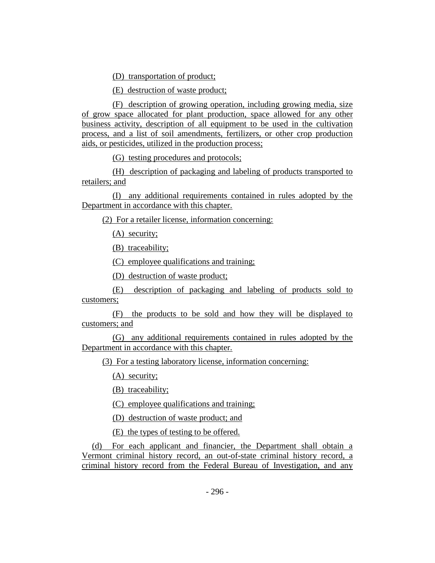(D) transportation of product;

(E) destruction of waste product;

(F) description of growing operation, including growing media, size of grow space allocated for plant production, space allowed for any other business activity, description of all equipment to be used in the cultivation process, and a list of soil amendments, fertilizers, or other crop production aids, or pesticides, utilized in the production process;

(G) testing procedures and protocols;

(H) description of packaging and labeling of products transported to retailers; and

(I) any additional requirements contained in rules adopted by the Department in accordance with this chapter.

(2) For a retailer license, information concerning:

(A) security;

(B) traceability;

(C) employee qualifications and training;

(D) destruction of waste product;

(E) description of packaging and labeling of products sold to customers;

(F) the products to be sold and how they will be displayed to customers; and

(G) any additional requirements contained in rules adopted by the Department in accordance with this chapter.

(3) For a testing laboratory license, information concerning:

(A) security;

(B) traceability;

(C) employee qualifications and training;

(D) destruction of waste product; and

(E) the types of testing to be offered.

(d) For each applicant and financier, the Department shall obtain a Vermont criminal history record, an out-of-state criminal history record, a criminal history record from the Federal Bureau of Investigation, and any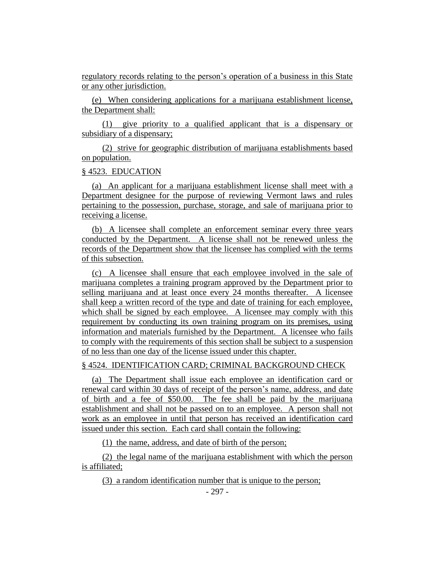regulatory records relating to the person's operation of a business in this State or any other jurisdiction.

(e) When considering applications for a marijuana establishment license, the Department shall:

(1) give priority to a qualified applicant that is a dispensary or subsidiary of a dispensary;

(2) strive for geographic distribution of marijuana establishments based on population.

#### § 4523. EDUCATION

(a) An applicant for a marijuana establishment license shall meet with a Department designee for the purpose of reviewing Vermont laws and rules pertaining to the possession, purchase, storage, and sale of marijuana prior to receiving a license.

(b) A licensee shall complete an enforcement seminar every three years conducted by the Department. A license shall not be renewed unless the records of the Department show that the licensee has complied with the terms of this subsection.

(c) A licensee shall ensure that each employee involved in the sale of marijuana completes a training program approved by the Department prior to selling marijuana and at least once every 24 months thereafter. A licensee shall keep a written record of the type and date of training for each employee, which shall be signed by each employee. A licensee may comply with this requirement by conducting its own training program on its premises, using information and materials furnished by the Department. A licensee who fails to comply with the requirements of this section shall be subject to a suspension of no less than one day of the license issued under this chapter.

#### § 4524. IDENTIFICATION CARD; CRIMINAL BACKGROUND CHECK

(a) The Department shall issue each employee an identification card or renewal card within 30 days of receipt of the person's name, address, and date of birth and a fee of \$50.00. The fee shall be paid by the marijuana establishment and shall not be passed on to an employee. A person shall not work as an employee in until that person has received an identification card issued under this section. Each card shall contain the following:

(1) the name, address, and date of birth of the person;

(2) the legal name of the marijuana establishment with which the person is affiliated;

(3) a random identification number that is unique to the person;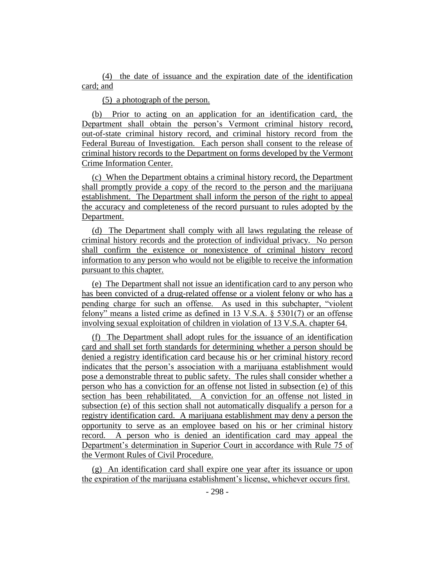(4) the date of issuance and the expiration date of the identification card; and

(5) a photograph of the person.

(b) Prior to acting on an application for an identification card, the Department shall obtain the person's Vermont criminal history record, out-of-state criminal history record, and criminal history record from the Federal Bureau of Investigation. Each person shall consent to the release of criminal history records to the Department on forms developed by the Vermont Crime Information Center.

(c) When the Department obtains a criminal history record, the Department shall promptly provide a copy of the record to the person and the marijuana establishment. The Department shall inform the person of the right to appeal the accuracy and completeness of the record pursuant to rules adopted by the Department.

(d) The Department shall comply with all laws regulating the release of criminal history records and the protection of individual privacy. No person shall confirm the existence or nonexistence of criminal history record information to any person who would not be eligible to receive the information pursuant to this chapter.

(e) The Department shall not issue an identification card to any person who has been convicted of a drug-related offense or a violent felony or who has a pending charge for such an offense. As used in this subchapter, "violent felony" means a listed crime as defined in 13 V.S.A. § 5301(7) or an offense involving sexual exploitation of children in violation of 13 V.S.A. chapter 64.

(f) The Department shall adopt rules for the issuance of an identification card and shall set forth standards for determining whether a person should be denied a registry identification card because his or her criminal history record indicates that the person's association with a marijuana establishment would pose a demonstrable threat to public safety. The rules shall consider whether a person who has a conviction for an offense not listed in subsection (e) of this section has been rehabilitated. A conviction for an offense not listed in subsection (e) of this section shall not automatically disqualify a person for a registry identification card. A marijuana establishment may deny a person the opportunity to serve as an employee based on his or her criminal history record. A person who is denied an identification card may appeal the Department's determination in Superior Court in accordance with Rule 75 of the Vermont Rules of Civil Procedure.

(g) An identification card shall expire one year after its issuance or upon the expiration of the marijuana establishment's license, whichever occurs first.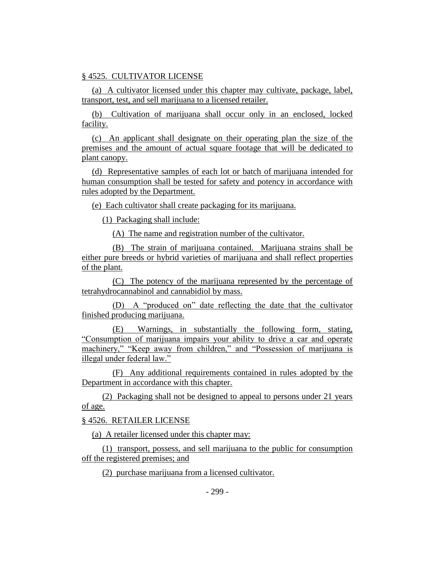## § 4525. CULTIVATOR LICENSE

(a) A cultivator licensed under this chapter may cultivate, package, label, transport, test, and sell marijuana to a licensed retailer.

(b) Cultivation of marijuana shall occur only in an enclosed, locked facility.

(c) An applicant shall designate on their operating plan the size of the premises and the amount of actual square footage that will be dedicated to plant canopy.

(d) Representative samples of each lot or batch of marijuana intended for human consumption shall be tested for safety and potency in accordance with rules adopted by the Department.

(e) Each cultivator shall create packaging for its marijuana.

(1) Packaging shall include:

(A) The name and registration number of the cultivator.

(B) The strain of marijuana contained. Marijuana strains shall be either pure breeds or hybrid varieties of marijuana and shall reflect properties of the plant.

(C) The potency of the marijuana represented by the percentage of tetrahydrocannabinol and cannabidiol by mass.

(D) A "produced on" date reflecting the date that the cultivator finished producing marijuana.

(E) Warnings, in substantially the following form, stating, "Consumption of marijuana impairs your ability to drive a car and operate machinery," "Keep away from children," and "Possession of marijuana is illegal under federal law."

(F) Any additional requirements contained in rules adopted by the Department in accordance with this chapter.

(2) Packaging shall not be designed to appeal to persons under 21 years of age.

§ 4526. RETAILER LICENSE

(a) A retailer licensed under this chapter may:

(1) transport, possess, and sell marijuana to the public for consumption off the registered premises; and

(2) purchase marijuana from a licensed cultivator.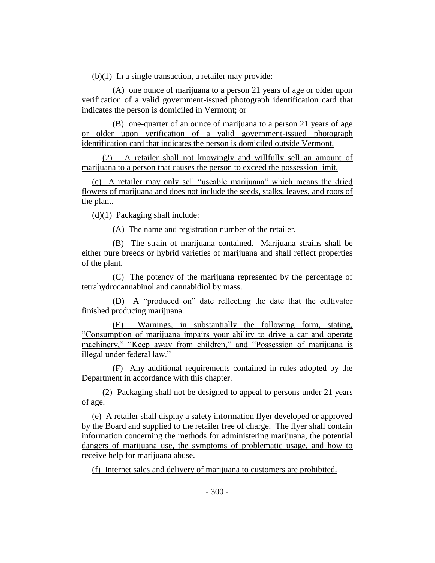$(b)(1)$  In a single transaction, a retailer may provide:

(A) one ounce of marijuana to a person 21 years of age or older upon verification of a valid government-issued photograph identification card that indicates the person is domiciled in Vermont; or

(B) one-quarter of an ounce of marijuana to a person 21 years of age or older upon verification of a valid government-issued photograph identification card that indicates the person is domiciled outside Vermont.

(2) A retailer shall not knowingly and willfully sell an amount of marijuana to a person that causes the person to exceed the possession limit.

(c) A retailer may only sell "useable marijuana" which means the dried flowers of marijuana and does not include the seeds, stalks, leaves, and roots of the plant.

(d)(1) Packaging shall include:

(A) The name and registration number of the retailer.

(B) The strain of marijuana contained. Marijuana strains shall be either pure breeds or hybrid varieties of marijuana and shall reflect properties of the plant.

(C) The potency of the marijuana represented by the percentage of tetrahydrocannabinol and cannabidiol by mass.

(D) A "produced on" date reflecting the date that the cultivator finished producing marijuana.

(E) Warnings, in substantially the following form, stating, "Consumption of marijuana impairs your ability to drive a car and operate machinery," "Keep away from children," and "Possession of marijuana is illegal under federal law."

(F) Any additional requirements contained in rules adopted by the Department in accordance with this chapter.

(2) Packaging shall not be designed to appeal to persons under 21 years of age.

(e) A retailer shall display a safety information flyer developed or approved by the Board and supplied to the retailer free of charge. The flyer shall contain information concerning the methods for administering marijuana, the potential dangers of marijuana use, the symptoms of problematic usage, and how to receive help for marijuana abuse.

(f) Internet sales and delivery of marijuana to customers are prohibited.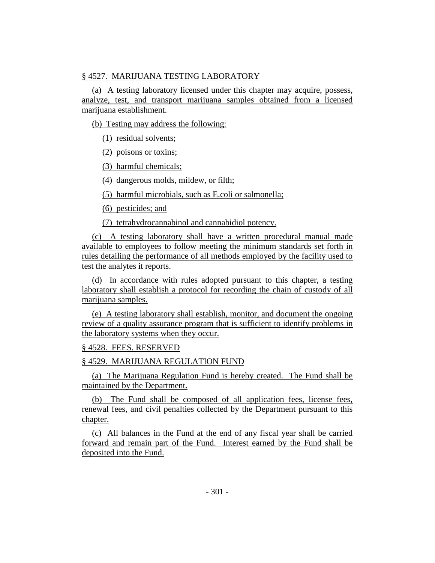## § 4527. MARIJUANA TESTING LABORATORY

(a) A testing laboratory licensed under this chapter may acquire, possess, analyze, test, and transport marijuana samples obtained from a licensed marijuana establishment.

(b) Testing may address the following:

(1) residual solvents;

(2) poisons or toxins;

(3) harmful chemicals;

(4) dangerous molds, mildew, or filth;

(5) harmful microbials, such as E.coli or salmonella;

(6) pesticides; and

(7) tetrahydrocannabinol and cannabidiol potency.

(c) A testing laboratory shall have a written procedural manual made available to employees to follow meeting the minimum standards set forth in rules detailing the performance of all methods employed by the facility used to test the analytes it reports.

(d) In accordance with rules adopted pursuant to this chapter, a testing laboratory shall establish a protocol for recording the chain of custody of all marijuana samples.

(e) A testing laboratory shall establish, monitor, and document the ongoing review of a quality assurance program that is sufficient to identify problems in the laboratory systems when they occur.

# § 4528. FEES. RESERVED

# § 4529. MARIJUANA REGULATION FUND

(a) The Marijuana Regulation Fund is hereby created. The Fund shall be maintained by the Department.

(b) The Fund shall be composed of all application fees, license fees, renewal fees, and civil penalties collected by the Department pursuant to this chapter.

(c) All balances in the Fund at the end of any fiscal year shall be carried forward and remain part of the Fund. Interest earned by the Fund shall be deposited into the Fund.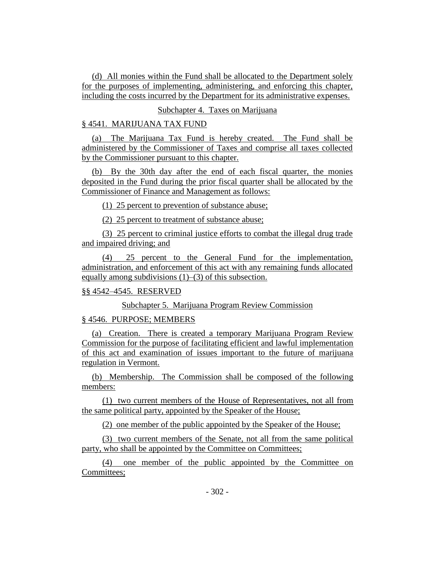(d) All monies within the Fund shall be allocated to the Department solely for the purposes of implementing, administering, and enforcing this chapter, including the costs incurred by the Department for its administrative expenses.

## Subchapter 4. Taxes on Marijuana

## § 4541. MARIJUANA TAX FUND

(a) The Marijuana Tax Fund is hereby created. The Fund shall be administered by the Commissioner of Taxes and comprise all taxes collected by the Commissioner pursuant to this chapter.

(b) By the 30th day after the end of each fiscal quarter, the monies deposited in the Fund during the prior fiscal quarter shall be allocated by the Commissioner of Finance and Management as follows:

(1) 25 percent to prevention of substance abuse;

(2) 25 percent to treatment of substance abuse;

(3) 25 percent to criminal justice efforts to combat the illegal drug trade and impaired driving; and

(4) 25 percent to the General Fund for the implementation, administration, and enforcement of this act with any remaining funds allocated equally among subdivisions  $(1)$ – $(3)$  of this subsection.

#### §§ 4542–4545. RESERVED

Subchapter 5. Marijuana Program Review Commission

## § 4546. PURPOSE; MEMBERS

(a) Creation. There is created a temporary Marijuana Program Review Commission for the purpose of facilitating efficient and lawful implementation of this act and examination of issues important to the future of marijuana regulation in Vermont.

(b) Membership. The Commission shall be composed of the following members:

(1) two current members of the House of Representatives, not all from the same political party, appointed by the Speaker of the House;

(2) one member of the public appointed by the Speaker of the House;

(3) two current members of the Senate, not all from the same political party, who shall be appointed by the Committee on Committees;

(4) one member of the public appointed by the Committee on Committees;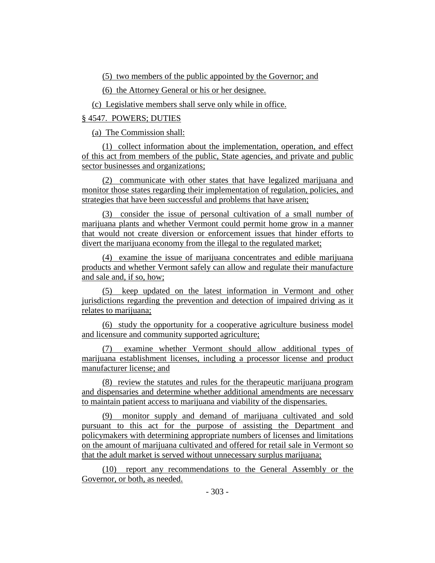(5) two members of the public appointed by the Governor; and

(6) the Attorney General or his or her designee.

(c) Legislative members shall serve only while in office.

§ 4547. POWERS; DUTIES

(a) The Commission shall:

(1) collect information about the implementation, operation, and effect of this act from members of the public, State agencies, and private and public sector businesses and organizations;

(2) communicate with other states that have legalized marijuana and monitor those states regarding their implementation of regulation, policies, and strategies that have been successful and problems that have arisen;

(3) consider the issue of personal cultivation of a small number of marijuana plants and whether Vermont could permit home grow in a manner that would not create diversion or enforcement issues that hinder efforts to divert the marijuana economy from the illegal to the regulated market;

(4) examine the issue of marijuana concentrates and edible marijuana products and whether Vermont safely can allow and regulate their manufacture and sale and, if so, how;

(5) keep updated on the latest information in Vermont and other jurisdictions regarding the prevention and detection of impaired driving as it relates to marijuana;

(6) study the opportunity for a cooperative agriculture business model and licensure and community supported agriculture;

(7) examine whether Vermont should allow additional types of marijuana establishment licenses, including a processor license and product manufacturer license; and

(8) review the statutes and rules for the therapeutic marijuana program and dispensaries and determine whether additional amendments are necessary to maintain patient access to marijuana and viability of the dispensaries.

(9) monitor supply and demand of marijuana cultivated and sold pursuant to this act for the purpose of assisting the Department and policymakers with determining appropriate numbers of licenses and limitations on the amount of marijuana cultivated and offered for retail sale in Vermont so that the adult market is served without unnecessary surplus marijuana;

(10) report any recommendations to the General Assembly or the Governor, or both, as needed.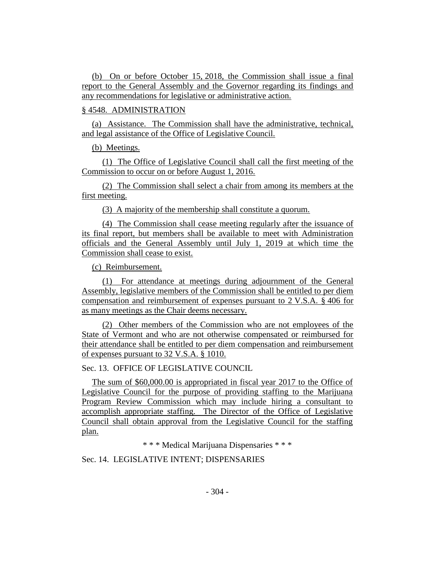(b) On or before October 15, 2018, the Commission shall issue a final report to the General Assembly and the Governor regarding its findings and any recommendations for legislative or administrative action.

## § 4548. ADMINISTRATION

(a) Assistance. The Commission shall have the administrative, technical, and legal assistance of the Office of Legislative Council.

(b) Meetings.

(1) The Office of Legislative Council shall call the first meeting of the Commission to occur on or before August 1, 2016.

(2) The Commission shall select a chair from among its members at the first meeting.

(3) A majority of the membership shall constitute a quorum.

(4) The Commission shall cease meeting regularly after the issuance of its final report, but members shall be available to meet with Administration officials and the General Assembly until July 1, 2019 at which time the Commission shall cease to exist.

(c) Reimbursement.

(1) For attendance at meetings during adjournment of the General Assembly, legislative members of the Commission shall be entitled to per diem compensation and reimbursement of expenses pursuant to 2 V.S.A. § 406 for as many meetings as the Chair deems necessary.

(2) Other members of the Commission who are not employees of the State of Vermont and who are not otherwise compensated or reimbursed for their attendance shall be entitled to per diem compensation and reimbursement of expenses pursuant to 32 V.S.A. § 1010.

Sec. 13. OFFICE OF LEGISLATIVE COUNCIL

The sum of \$60,000.00 is appropriated in fiscal year 2017 to the Office of Legislative Council for the purpose of providing staffing to the Marijuana Program Review Commission which may include hiring a consultant to accomplish appropriate staffing. The Director of the Office of Legislative Council shall obtain approval from the Legislative Council for the staffing plan.

\* \* \* Medical Marijuana Dispensaries \* \* \*

Sec. 14. LEGISLATIVE INTENT; DISPENSARIES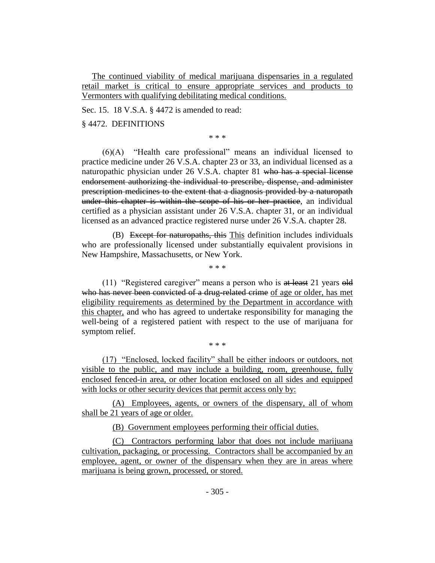The continued viability of medical marijuana dispensaries in a regulated retail market is critical to ensure appropriate services and products to Vermonters with qualifying debilitating medical conditions.

Sec. 15. 18 V.S.A. § 4472 is amended to read:

§ 4472. DEFINITIONS

\* \* \*

(6)(A) "Health care professional" means an individual licensed to practice medicine under 26 V.S.A. chapter 23 or 33, an individual licensed as a naturopathic physician under 26 V.S.A. chapter 81 who has a special license endorsement authorizing the individual to prescribe, dispense, and administer prescription medicines to the extent that a diagnosis provided by a naturopath under this chapter is within the scope of his or her practice, an individual certified as a physician assistant under 26 V.S.A. chapter 31, or an individual licensed as an advanced practice registered nurse under 26 V.S.A. chapter 28.

(B) Except for naturopaths, this This definition includes individuals who are professionally licensed under substantially equivalent provisions in New Hampshire, Massachusetts, or New York.

\* \* \*

(11) "Registered caregiver" means a person who is at least 21 years old who has never been convicted of a drug-related crime of age or older, has met eligibility requirements as determined by the Department in accordance with this chapter, and who has agreed to undertake responsibility for managing the well-being of a registered patient with respect to the use of marijuana for symptom relief.

(17) "Enclosed, locked facility" shall be either indoors or outdoors, not visible to the public, and may include a building, room, greenhouse, fully enclosed fenced-in area, or other location enclosed on all sides and equipped with locks or other security devices that permit access only by:

\* \* \*

(A) Employees, agents, or owners of the dispensary, all of whom shall be 21 years of age or older.

(B) Government employees performing their official duties.

(C) Contractors performing labor that does not include marijuana cultivation, packaging, or processing. Contractors shall be accompanied by an employee, agent, or owner of the dispensary when they are in areas where marijuana is being grown, processed, or stored.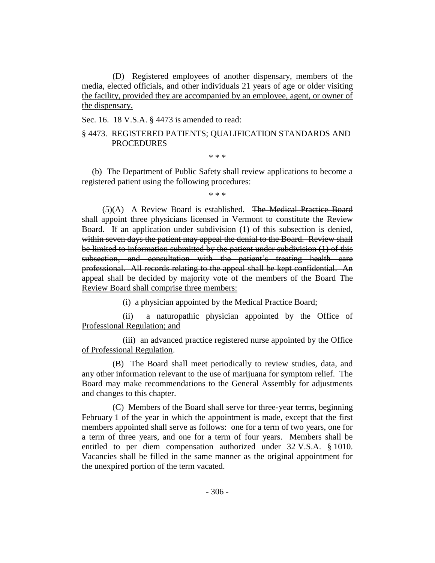(D) Registered employees of another dispensary, members of the media, elected officials, and other individuals 21 years of age or older visiting the facility, provided they are accompanied by an employee, agent, or owner of the dispensary.

Sec. 16. 18 V.S.A. § 4473 is amended to read:

## § 4473. REGISTERED PATIENTS; QUALIFICATION STANDARDS AND PROCEDURES

\* \* \*

(b) The Department of Public Safety shall review applications to become a registered patient using the following procedures:

\* \* \*

(5)(A) A Review Board is established. The Medical Practice Board shall appoint three physicians licensed in Vermont to constitute the Review Board. If an application under subdivision (1) of this subsection is denied, within seven days the patient may appeal the denial to the Board. Review shall be limited to information submitted by the patient under subdivision (1) of this subsection, and consultation with the patient's treating health care professional. All records relating to the appeal shall be kept confidential. An appeal shall be decided by majority vote of the members of the Board The Review Board shall comprise three members:

(i) a physician appointed by the Medical Practice Board;

(ii) a naturopathic physician appointed by the Office of Professional Regulation; and

(iii) an advanced practice registered nurse appointed by the Office of Professional Regulation.

(B) The Board shall meet periodically to review studies, data, and any other information relevant to the use of marijuana for symptom relief. The Board may make recommendations to the General Assembly for adjustments and changes to this chapter.

(C) Members of the Board shall serve for three-year terms, beginning February 1 of the year in which the appointment is made, except that the first members appointed shall serve as follows: one for a term of two years, one for a term of three years, and one for a term of four years. Members shall be entitled to per diem compensation authorized under 32 V.S.A. § 1010. Vacancies shall be filled in the same manner as the original appointment for the unexpired portion of the term vacated.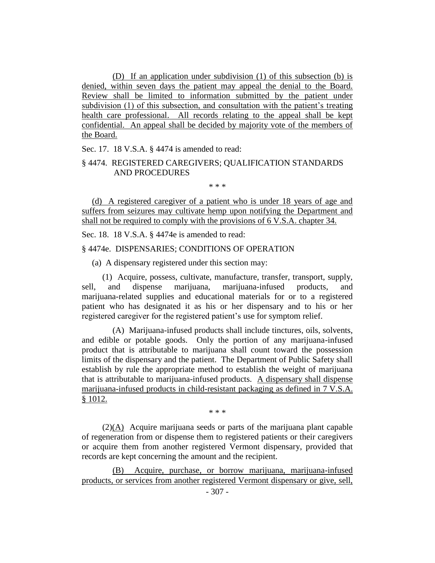(D) If an application under subdivision (1) of this subsection (b) is denied, within seven days the patient may appeal the denial to the Board. Review shall be limited to information submitted by the patient under subdivision (1) of this subsection, and consultation with the patient's treating health care professional. All records relating to the appeal shall be kept confidential. An appeal shall be decided by majority vote of the members of the Board.

Sec. 17. 18 V.S.A. § 4474 is amended to read:

## § 4474. REGISTERED CAREGIVERS; QUALIFICATION STANDARDS AND PROCEDURES

\* \* \*

(d) A registered caregiver of a patient who is under 18 years of age and suffers from seizures may cultivate hemp upon notifying the Department and shall not be required to comply with the provisions of 6 V.S.A. chapter 34.

Sec. 18. 18 V.S.A. § 4474e is amended to read:

#### § 4474e. DISPENSARIES; CONDITIONS OF OPERATION

(a) A dispensary registered under this section may:

(1) Acquire, possess, cultivate, manufacture, transfer, transport, supply, sell, and dispense marijuana, marijuana-infused products, and marijuana-related supplies and educational materials for or to a registered patient who has designated it as his or her dispensary and to his or her registered caregiver for the registered patient's use for symptom relief.

(A) Marijuana-infused products shall include tinctures, oils, solvents, and edible or potable goods. Only the portion of any marijuana-infused product that is attributable to marijuana shall count toward the possession limits of the dispensary and the patient. The Department of Public Safety shall establish by rule the appropriate method to establish the weight of marijuana that is attributable to marijuana-infused products. A dispensary shall dispense marijuana-infused products in child-resistant packaging as defined in 7 V.S.A. § 1012.

\* \* \*

(2)(A) Acquire marijuana seeds or parts of the marijuana plant capable of regeneration from or dispense them to registered patients or their caregivers or acquire them from another registered Vermont dispensary, provided that records are kept concerning the amount and the recipient.

(B) Acquire, purchase, or borrow marijuana, marijuana-infused products, or services from another registered Vermont dispensary or give, sell,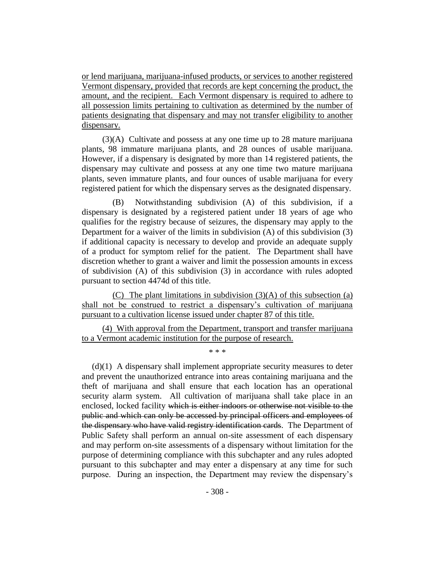or lend marijuana, marijuana-infused products, or services to another registered Vermont dispensary, provided that records are kept concerning the product, the amount, and the recipient. Each Vermont dispensary is required to adhere to all possession limits pertaining to cultivation as determined by the number of patients designating that dispensary and may not transfer eligibility to another dispensary.

(3)(A) Cultivate and possess at any one time up to 28 mature marijuana plants, 98 immature marijuana plants, and 28 ounces of usable marijuana. However, if a dispensary is designated by more than 14 registered patients, the dispensary may cultivate and possess at any one time two mature marijuana plants, seven immature plants, and four ounces of usable marijuana for every registered patient for which the dispensary serves as the designated dispensary.

(B) Notwithstanding subdivision (A) of this subdivision, if a dispensary is designated by a registered patient under 18 years of age who qualifies for the registry because of seizures, the dispensary may apply to the Department for a waiver of the limits in subdivision (A) of this subdivision (3) if additional capacity is necessary to develop and provide an adequate supply of a product for symptom relief for the patient. The Department shall have discretion whether to grant a waiver and limit the possession amounts in excess of subdivision (A) of this subdivision (3) in accordance with rules adopted pursuant to section 4474d of this title.

(C) The plant limitations in subdivision (3)(A) of this subsection (a) shall not be construed to restrict a dispensary's cultivation of marijuana pursuant to a cultivation license issued under chapter 87 of this title.

(4) With approval from the Department, transport and transfer marijuana to a Vermont academic institution for the purpose of research.

\* \* \*

 $(d)(1)$  A dispensary shall implement appropriate security measures to deter and prevent the unauthorized entrance into areas containing marijuana and the theft of marijuana and shall ensure that each location has an operational security alarm system. All cultivation of marijuana shall take place in an enclosed, locked facility which is either indoors or otherwise not visible to the public and which can only be accessed by principal officers and employees of the dispensary who have valid registry identification cards. The Department of Public Safety shall perform an annual on-site assessment of each dispensary and may perform on-site assessments of a dispensary without limitation for the purpose of determining compliance with this subchapter and any rules adopted pursuant to this subchapter and may enter a dispensary at any time for such purpose. During an inspection, the Department may review the dispensary's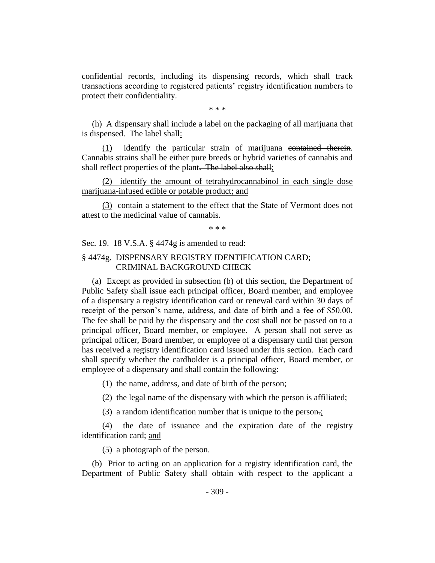confidential records, including its dispensing records, which shall track transactions according to registered patients' registry identification numbers to protect their confidentiality.

\* \* \*

(h) A dispensary shall include a label on the packaging of all marijuana that is dispensed. The label shall:

(1) identify the particular strain of marijuana contained therein. Cannabis strains shall be either pure breeds or hybrid varieties of cannabis and shall reflect properties of the plant. The label also shall;

(2) identify the amount of tetrahydrocannabinol in each single dose marijuana-infused edible or potable product; and

(3) contain a statement to the effect that the State of Vermont does not attest to the medicinal value of cannabis.

\* \* \*

Sec. 19. 18 V.S.A. § 4474g is amended to read:

## § 4474g. DISPENSARY REGISTRY IDENTIFICATION CARD; CRIMINAL BACKGROUND CHECK

(a) Except as provided in subsection (b) of this section, the Department of Public Safety shall issue each principal officer, Board member, and employee of a dispensary a registry identification card or renewal card within 30 days of receipt of the person's name, address, and date of birth and a fee of \$50.00. The fee shall be paid by the dispensary and the cost shall not be passed on to a principal officer, Board member, or employee. A person shall not serve as principal officer, Board member, or employee of a dispensary until that person has received a registry identification card issued under this section. Each card shall specify whether the cardholder is a principal officer, Board member, or employee of a dispensary and shall contain the following:

(1) the name, address, and date of birth of the person;

(2) the legal name of the dispensary with which the person is affiliated;

(3) a random identification number that is unique to the person.;

(4) the date of issuance and the expiration date of the registry identification card; and

(5) a photograph of the person.

(b) Prior to acting on an application for a registry identification card, the Department of Public Safety shall obtain with respect to the applicant a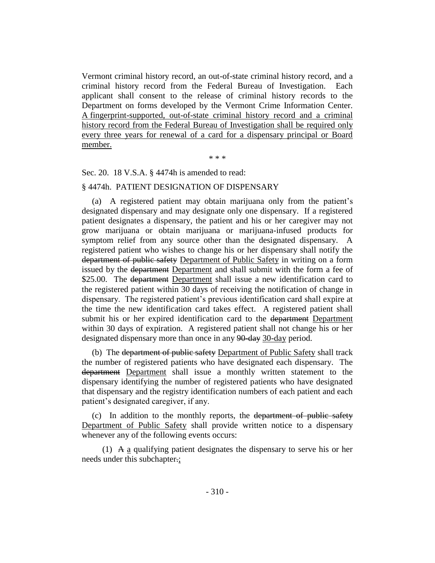Vermont criminal history record, an out-of-state criminal history record, and a criminal history record from the Federal Bureau of Investigation. Each applicant shall consent to the release of criminal history records to the Department on forms developed by the Vermont Crime Information Center. A fingerprint-supported, out-of-state criminal history record and a criminal history record from the Federal Bureau of Investigation shall be required only every three years for renewal of a card for a dispensary principal or Board member.

\* \* \*

Sec. 20. 18 V.S.A. § 4474h is amended to read:

#### § 4474h. PATIENT DESIGNATION OF DISPENSARY

(a) A registered patient may obtain marijuana only from the patient's designated dispensary and may designate only one dispensary. If a registered patient designates a dispensary, the patient and his or her caregiver may not grow marijuana or obtain marijuana or marijuana-infused products for symptom relief from any source other than the designated dispensary. A registered patient who wishes to change his or her dispensary shall notify the department of public safety Department of Public Safety in writing on a form issued by the department Department and shall submit with the form a fee of \$25.00. The <del>department</del> Department shall issue a new identification card to the registered patient within 30 days of receiving the notification of change in dispensary. The registered patient's previous identification card shall expire at the time the new identification card takes effect. A registered patient shall submit his or her expired identification card to the department Department within 30 days of expiration. A registered patient shall not change his or her designated dispensary more than once in any 90-day 30-day period.

(b) The department of public safety Department of Public Safety shall track the number of registered patients who have designated each dispensary. The department Department shall issue a monthly written statement to the dispensary identifying the number of registered patients who have designated that dispensary and the registry identification numbers of each patient and each patient's designated caregiver, if any.

(c) In addition to the monthly reports, the department of public safety Department of Public Safety shall provide written notice to a dispensary whenever any of the following events occurs:

(1) A a qualifying patient designates the dispensary to serve his or her needs under this subchapter.;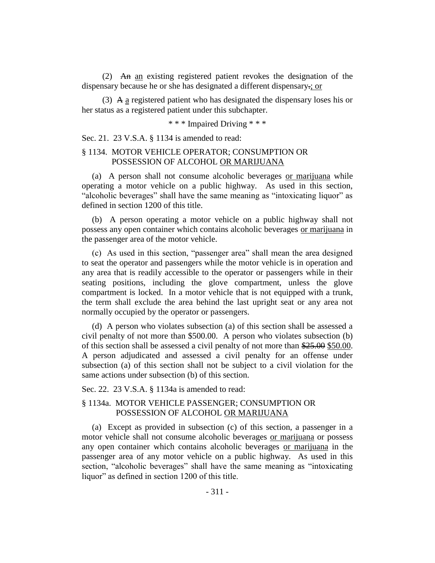(2) An an existing registered patient revokes the designation of the dispensary because he or she has designated a different dispensary.; or

(3) A a registered patient who has designated the dispensary loses his or her status as a registered patient under this subchapter.

\* \* \* Impaired Driving \* \* \*

Sec. 21. 23 V.S.A. § 1134 is amended to read:

## § 1134. MOTOR VEHICLE OPERATOR; CONSUMPTION OR POSSESSION OF ALCOHOL OR MARIJUANA

(a) A person shall not consume alcoholic beverages or marijuana while operating a motor vehicle on a public highway. As used in this section, "alcoholic beverages" shall have the same meaning as "intoxicating liquor" as defined in section 1200 of this title.

(b) A person operating a motor vehicle on a public highway shall not possess any open container which contains alcoholic beverages or marijuana in the passenger area of the motor vehicle.

(c) As used in this section, "passenger area" shall mean the area designed to seat the operator and passengers while the motor vehicle is in operation and any area that is readily accessible to the operator or passengers while in their seating positions, including the glove compartment, unless the glove compartment is locked. In a motor vehicle that is not equipped with a trunk, the term shall exclude the area behind the last upright seat or any area not normally occupied by the operator or passengers.

(d) A person who violates subsection (a) of this section shall be assessed a civil penalty of not more than \$500.00. A person who violates subsection (b) of this section shall be assessed a civil penalty of not more than \$25.00 \$50.00. A person adjudicated and assessed a civil penalty for an offense under subsection (a) of this section shall not be subject to a civil violation for the same actions under subsection (b) of this section.

Sec. 22. 23 V.S.A. § 1134a is amended to read:

## § 1134a. MOTOR VEHICLE PASSENGER; CONSUMPTION OR POSSESSION OF ALCOHOL OR MARIJUANA

(a) Except as provided in subsection (c) of this section, a passenger in a motor vehicle shall not consume alcoholic beverages or marijuana or possess any open container which contains alcoholic beverages or marijuana in the passenger area of any motor vehicle on a public highway. As used in this section, "alcoholic beverages" shall have the same meaning as "intoxicating liquor" as defined in section 1200 of this title.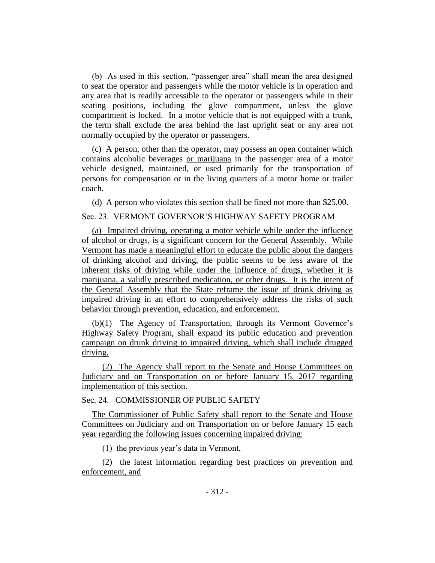(b) As used in this section, "passenger area" shall mean the area designed to seat the operator and passengers while the motor vehicle is in operation and any area that is readily accessible to the operator or passengers while in their seating positions, including the glove compartment, unless the glove compartment is locked. In a motor vehicle that is not equipped with a trunk, the term shall exclude the area behind the last upright seat or any area not normally occupied by the operator or passengers.

(c) A person, other than the operator, may possess an open container which contains alcoholic beverages or marijuana in the passenger area of a motor vehicle designed, maintained, or used primarily for the transportation of persons for compensation or in the living quarters of a motor home or trailer coach.

(d) A person who violates this section shall be fined not more than \$25.00.

## Sec. 23. VERMONT GOVERNOR'S HIGHWAY SAFETY PROGRAM

(a) Impaired driving, operating a motor vehicle while under the influence of alcohol or drugs, is a significant concern for the General Assembly. While Vermont has made a meaningful effort to educate the public about the dangers of drinking alcohol and driving, the public seems to be less aware of the inherent risks of driving while under the influence of drugs, whether it is marijuana, a validly prescribed medication, or other drugs. It is the intent of the General Assembly that the State reframe the issue of drunk driving as impaired driving in an effort to comprehensively address the risks of such behavior through prevention, education, and enforcement.

(b)(1) The Agency of Transportation, through its Vermont Governor's Highway Safety Program, shall expand its public education and prevention campaign on drunk driving to impaired driving, which shall include drugged driving.

(2) The Agency shall report to the Senate and House Committees on Judiciary and on Transportation on or before January 15, 2017 regarding implementation of this section.

# Sec. 24. COMMISSIONER OF PUBLIC SAFETY

The Commissioner of Public Safety shall report to the Senate and House Committees on Judiciary and on Transportation on or before January 15 each year regarding the following issues concerning impaired driving:

(1) the previous year's data in Vermont,

(2) the latest information regarding best practices on prevention and enforcement, and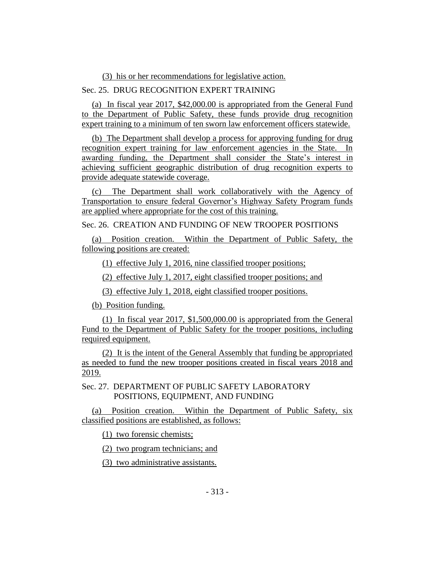(3) his or her recommendations for legislative action.

# Sec. 25. DRUG RECOGNITION EXPERT TRAINING

(a) In fiscal year 2017, \$42,000.00 is appropriated from the General Fund to the Department of Public Safety, these funds provide drug recognition expert training to a minimum of ten sworn law enforcement officers statewide.

(b) The Department shall develop a process for approving funding for drug recognition expert training for law enforcement agencies in the State. In awarding funding, the Department shall consider the State's interest in achieving sufficient geographic distribution of drug recognition experts to provide adequate statewide coverage.

(c) The Department shall work collaboratively with the Agency of Transportation to ensure federal Governor's Highway Safety Program funds are applied where appropriate for the cost of this training.

Sec. 26. CREATION AND FUNDING OF NEW TROOPER POSITIONS

(a) Position creation. Within the Department of Public Safety, the following positions are created:

(1) effective July 1, 2016, nine classified trooper positions;

(2) effective July 1, 2017, eight classified trooper positions; and

(3) effective July 1, 2018, eight classified trooper positions.

(b) Position funding.

(1) In fiscal year 2017, \$1,500,000.00 is appropriated from the General Fund to the Department of Public Safety for the trooper positions, including required equipment.

(2) It is the intent of the General Assembly that funding be appropriated as needed to fund the new trooper positions created in fiscal years 2018 and 2019.

Sec. 27. DEPARTMENT OF PUBLIC SAFETY LABORATORY POSITIONS, EQUIPMENT, AND FUNDING

(a) Position creation. Within the Department of Public Safety, six classified positions are established, as follows:

(1) two forensic chemists;

(2) two program technicians; and

(3) two administrative assistants.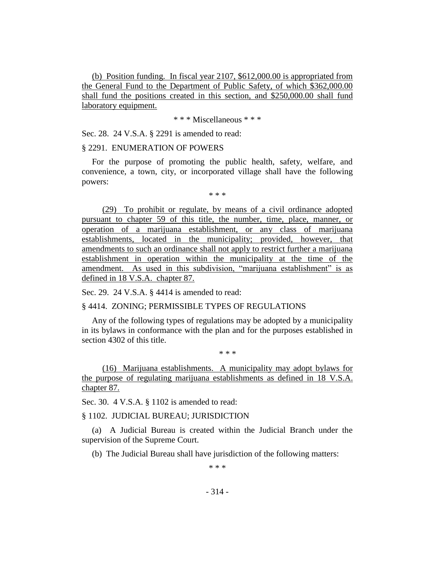(b) Position funding. In fiscal year 2107, \$612,000.00 is appropriated from the General Fund to the Department of Public Safety, of which \$362,000.00 shall fund the positions created in this section, and \$250,000.00 shall fund laboratory equipment.

\* \* \* Miscellaneous \* \* \*

Sec. 28. 24 V.S.A. § 2291 is amended to read:

### § 2291. ENUMERATION OF POWERS

For the purpose of promoting the public health, safety, welfare, and convenience, a town, city, or incorporated village shall have the following powers:

\* \* \*

(29) To prohibit or regulate, by means of a civil ordinance adopted pursuant to chapter 59 of this title, the number, time, place, manner, or operation of a marijuana establishment, or any class of marijuana establishments, located in the municipality; provided, however, that amendments to such an ordinance shall not apply to restrict further a marijuana establishment in operation within the municipality at the time of the amendment. As used in this subdivision, "marijuana establishment" is as defined in 18 V.S.A. chapter 87.

Sec. 29. 24 V.S.A. § 4414 is amended to read:

§ 4414. ZONING; PERMISSIBLE TYPES OF REGULATIONS

Any of the following types of regulations may be adopted by a municipality in its bylaws in conformance with the plan and for the purposes established in section 4302 of this title.

\* \* \*

(16) Marijuana establishments. A municipality may adopt bylaws for the purpose of regulating marijuana establishments as defined in 18 V.S.A. chapter 87.

Sec. 30. 4 V.S.A. § 1102 is amended to read:

§ 1102. JUDICIAL BUREAU; JURISDICTION

(a) A Judicial Bureau is created within the Judicial Branch under the supervision of the Supreme Court.

(b) The Judicial Bureau shall have jurisdiction of the following matters:

\* \* \*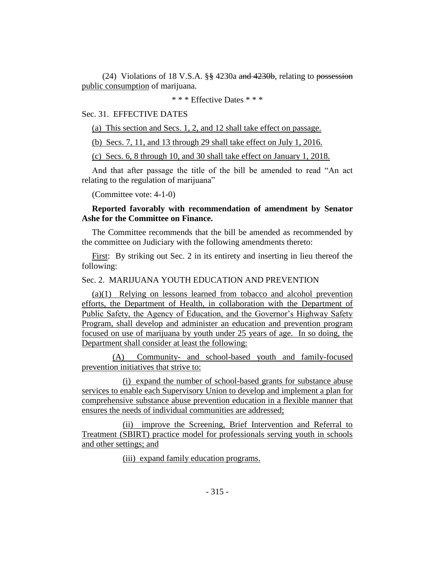(24) Violations of 18 V.S.A. §§ 4230a and 4230b, relating to possession public consumption of marijuana.

\* \* \* Effective Dates \* \* \*

# Sec. 31. EFFECTIVE DATES

(a) This section and Secs. 1, 2, and 12 shall take effect on passage.

(b) Secs. 7, 11, and 13 through 29 shall take effect on July 1, 2016.

(c) Secs. 6, 8 through 10, and 30 shall take effect on January 1, 2018.

And that after passage the title of the bill be amended to read "An act relating to the regulation of marijuana"

(Committee vote: 4-1-0)

# **Reported favorably with recommendation of amendment by Senator Ashe for the Committee on Finance.**

The Committee recommends that the bill be amended as recommended by the committee on Judiciary with the following amendments thereto:

First: By striking out Sec. 2 in its entirety and inserting in lieu thereof the following:

### Sec. 2. MARIJUANA YOUTH EDUCATION AND PREVENTION

(a)(1) Relying on lessons learned from tobacco and alcohol prevention efforts, the Department of Health, in collaboration with the Department of Public Safety, the Agency of Education, and the Governor's Highway Safety Program, shall develop and administer an education and prevention program focused on use of marijuana by youth under 25 years of age. In so doing, the Department shall consider at least the following:

(A) Community- and school-based youth and family-focused prevention initiatives that strive to:

(i) expand the number of school-based grants for substance abuse services to enable each Supervisory Union to develop and implement a plan for comprehensive substance abuse prevention education in a flexible manner that ensures the needs of individual communities are addressed;

(ii) improve the Screening, Brief Intervention and Referral to Treatment (SBIRT) practice model for professionals serving youth in schools and other settings; and

(iii) expand family education programs.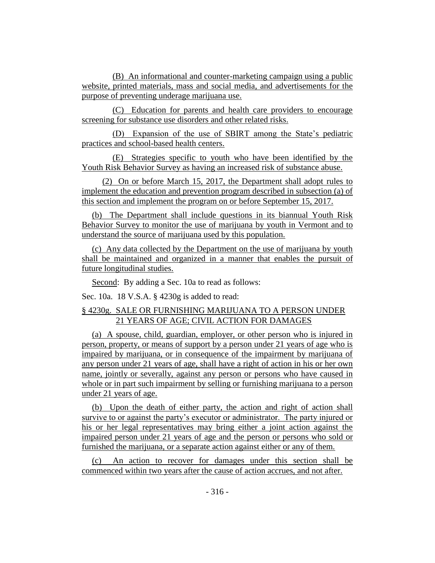(B) An informational and counter-marketing campaign using a public website, printed materials, mass and social media, and advertisements for the purpose of preventing underage marijuana use.

(C) Education for parents and health care providers to encourage screening for substance use disorders and other related risks.

(D) Expansion of the use of SBIRT among the State's pediatric practices and school-based health centers.

(E) Strategies specific to youth who have been identified by the Youth Risk Behavior Survey as having an increased risk of substance abuse.

(2) On or before March 15, 2017, the Department shall adopt rules to implement the education and prevention program described in subsection (a) of this section and implement the program on or before September 15, 2017.

(b) The Department shall include questions in its biannual Youth Risk Behavior Survey to monitor the use of marijuana by youth in Vermont and to understand the source of marijuana used by this population.

(c) Any data collected by the Department on the use of marijuana by youth shall be maintained and organized in a manner that enables the pursuit of future longitudinal studies.

Second: By adding a Sec. 10a to read as follows:

Sec. 10a. 18 V.S.A. § 4230g is added to read:

# § 4230g. SALE OR FURNISHING MARIJUANA TO A PERSON UNDER 21 YEARS OF AGE; CIVIL ACTION FOR DAMAGES

(a) A spouse, child, guardian, employer, or other person who is injured in person, property, or means of support by a person under 21 years of age who is impaired by marijuana, or in consequence of the impairment by marijuana of any person under 21 years of age, shall have a right of action in his or her own name, jointly or severally, against any person or persons who have caused in whole or in part such impairment by selling or furnishing marijuana to a person under 21 years of age.

(b) Upon the death of either party, the action and right of action shall survive to or against the party's executor or administrator. The party injured or his or her legal representatives may bring either a joint action against the impaired person under 21 years of age and the person or persons who sold or furnished the marijuana, or a separate action against either or any of them.

(c) An action to recover for damages under this section shall be commenced within two years after the cause of action accrues, and not after.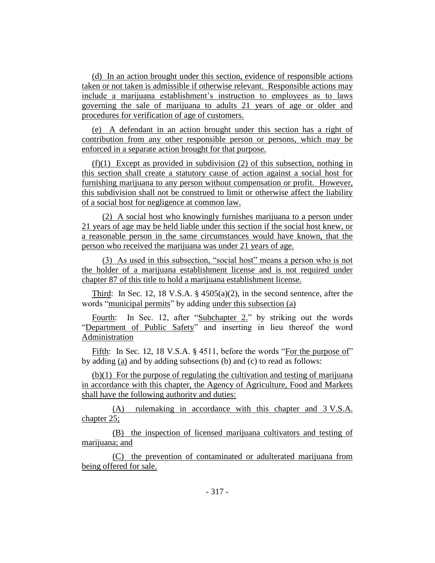(d) In an action brought under this section, evidence of responsible actions taken or not taken is admissible if otherwise relevant. Responsible actions may include a marijuana establishment's instruction to employees as to laws governing the sale of marijuana to adults 21 years of age or older and procedures for verification of age of customers.

(e) A defendant in an action brought under this section has a right of contribution from any other responsible person or persons, which may be enforced in a separate action brought for that purpose.

(f)(1) Except as provided in subdivision (2) of this subsection, nothing in this section shall create a statutory cause of action against a social host for furnishing marijuana to any person without compensation or profit. However, this subdivision shall not be construed to limit or otherwise affect the liability of a social host for negligence at common law.

(2) A social host who knowingly furnishes marijuana to a person under 21 years of age may be held liable under this section if the social host knew, or a reasonable person in the same circumstances would have known, that the person who received the marijuana was under 21 years of age.

(3) As used in this subsection, "social host" means a person who is not the holder of a marijuana establishment license and is not required under chapter 87 of this title to hold a marijuana establishment license.

Third: In Sec. 12, 18 V.S.A. § 4505(a)(2), in the second sentence, after the words "municipal permits" by adding under this subsection (a)

Fourth: In Sec. 12, after "Subchapter 2." by striking out the words "Department of Public Safety" and inserting in lieu thereof the word Administration

Fifth: In Sec. 12, 18 V.S.A. § 4511, before the words "For the purpose of" by adding (a) and by adding subsections (b) and (c) to read as follows:

(b)(1) For the purpose of regulating the cultivation and testing of marijuana in accordance with this chapter, the Agency of Agriculture, Food and Markets shall have the following authority and duties:

(A) rulemaking in accordance with this chapter and 3 V.S.A. chapter 25;

(B) the inspection of licensed marijuana cultivators and testing of marijuana; and

(C) the prevention of contaminated or adulterated marijuana from being offered for sale.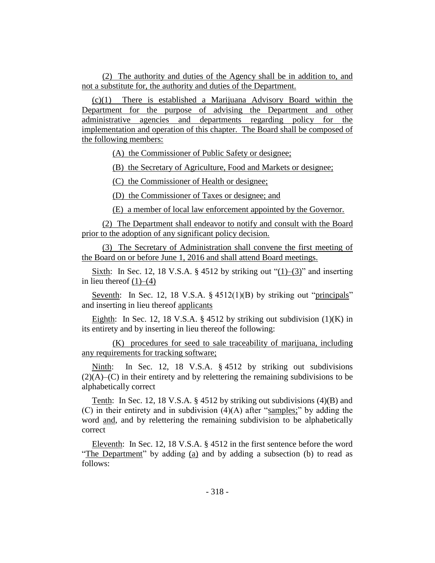(2) The authority and duties of the Agency shall be in addition to, and not a substitute for, the authority and duties of the Department.

(c)(1) There is established a Marijuana Advisory Board within the Department for the purpose of advising the Department and other administrative agencies and departments regarding policy for the implementation and operation of this chapter. The Board shall be composed of the following members:

(A) the Commissioner of Public Safety or designee;

(B) the Secretary of Agriculture, Food and Markets or designee;

(C) the Commissioner of Health or designee;

(D) the Commissioner of Taxes or designee; and

(E) a member of local law enforcement appointed by the Governor.

(2) The Department shall endeavor to notify and consult with the Board prior to the adoption of any significant policy decision.

(3) The Secretary of Administration shall convene the first meeting of the Board on or before June 1, 2016 and shall attend Board meetings.

Sixth: In Sec. 12, 18 V.S.A. § 4512 by striking out " $(1)$ – $(3)$ " and inserting in lieu thereof  $(1)$ – $(4)$ 

Seventh: In Sec. 12, 18 V.S.A. § 4512(1)(B) by striking out "principals" and inserting in lieu thereof applicants

Eighth: In Sec. 12, 18 V.S.A. § 4512 by striking out subdivision  $(1)(K)$  in its entirety and by inserting in lieu thereof the following:

(K) procedures for seed to sale traceability of marijuana, including any requirements for tracking software;

Ninth: In Sec. 12, 18 V.S.A. § 4512 by striking out subdivisions  $(2)(A)$ – $(C)$  in their entirety and by relettering the remaining subdivisions to be alphabetically correct

Tenth: In Sec. 12, 18 V.S.A. § 4512 by striking out subdivisions (4)(B) and (C) in their entirety and in subdivision  $(4)(A)$  after "samples;" by adding the word and, and by relettering the remaining subdivision to be alphabetically correct

Eleventh: In Sec. 12, 18 V.S.A. § 4512 in the first sentence before the word "The Department" by adding (a) and by adding a subsection (b) to read as follows: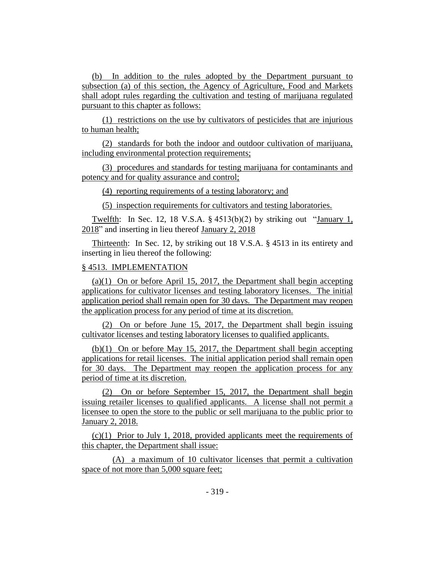(b) In addition to the rules adopted by the Department pursuant to subsection (a) of this section, the Agency of Agriculture, Food and Markets shall adopt rules regarding the cultivation and testing of marijuana regulated pursuant to this chapter as follows:

(1) restrictions on the use by cultivators of pesticides that are injurious to human health;

(2) standards for both the indoor and outdoor cultivation of marijuana, including environmental protection requirements;

(3) procedures and standards for testing marijuana for contaminants and potency and for quality assurance and control;

(4) reporting requirements of a testing laboratory; and

(5) inspection requirements for cultivators and testing laboratories.

Twelfth: In Sec. 12, 18 V.S.A. § 4513(b)(2) by striking out "January 1, 2018" and inserting in lieu thereof January 2, 2018

Thirteenth: In Sec. 12, by striking out 18 V.S.A. § 4513 in its entirety and inserting in lieu thereof the following:

## § 4513. IMPLEMENTATION

(a)(1) On or before April 15, 2017, the Department shall begin accepting applications for cultivator licenses and testing laboratory licenses. The initial application period shall remain open for 30 days. The Department may reopen the application process for any period of time at its discretion.

(2) On or before June 15, 2017, the Department shall begin issuing cultivator licenses and testing laboratory licenses to qualified applicants.

(b)(1) On or before May 15, 2017, the Department shall begin accepting applications for retail licenses. The initial application period shall remain open for 30 days. The Department may reopen the application process for any period of time at its discretion.

(2) On or before September 15, 2017, the Department shall begin issuing retailer licenses to qualified applicants. A license shall not permit a licensee to open the store to the public or sell marijuana to the public prior to January 2, 2018.

(c)(1) Prior to July 1, 2018, provided applicants meet the requirements of this chapter, the Department shall issue:

(A) a maximum of 10 cultivator licenses that permit a cultivation space of not more than 5,000 square feet;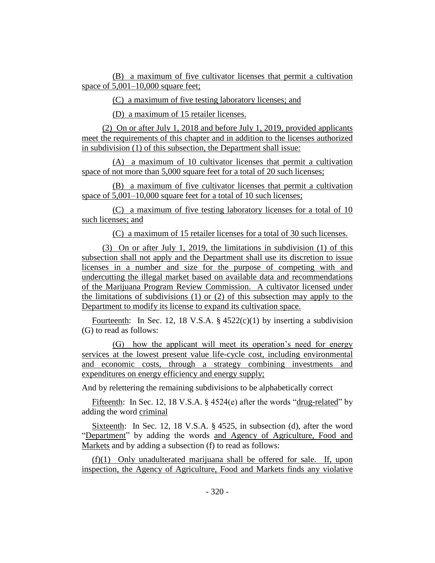(B) a maximum of five cultivator licenses that permit a cultivation space of  $5,001-10,000$  square feet;

(C) a maximum of five testing laboratory licenses; and

(D) a maximum of 15 retailer licenses.

(2) On or after July 1, 2018 and before July 1, 2019, provided applicants meet the requirements of this chapter and in addition to the licenses authorized in subdivision (1) of this subsection, the Department shall issue:

(A) a maximum of 10 cultivator licenses that permit a cultivation space of not more than 5,000 square feet for a total of 20 such licenses;

(B) a maximum of five cultivator licenses that permit a cultivation space of 5,001–10,000 square feet for a total of 10 such licenses;

(C) a maximum of five testing laboratory licenses for a total of 10 such licenses; and

(C) a maximum of 15 retailer licenses for a total of 30 such licenses.

(3) On or after July 1, 2019, the limitations in subdivision (1) of this subsection shall not apply and the Department shall use its discretion to issue licenses in a number and size for the purpose of competing with and undercutting the illegal market based on available data and recommendations of the Marijuana Program Review Commission. A cultivator licensed under the limitations of subdivisions  $(1)$  or  $(2)$  of this subsection may apply to the Department to modify its license to expand its cultivation space.

Fourteenth: In Sec. 12, 18 V.S.A.  $\S$  4522(c)(1) by inserting a subdivision (G) to read as follows:

(G) how the applicant will meet its operation's need for energy services at the lowest present value life-cycle cost, including environmental and economic costs, through a strategy combining investments and expenditures on energy efficiency and energy supply;

And by relettering the remaining subdivisions to be alphabetically correct

Fifteenth: In Sec. 12, 18 V.S.A. § 4524(e) after the words "drug-related" by adding the word criminal

Sixteenth: In Sec. 12, 18 V.S.A. § 4525, in subsection (d), after the word "Department" by adding the words and Agency of Agriculture, Food and Markets and by adding a subsection (f) to read as follows:

(f)(1) Only unadulterated marijuana shall be offered for sale. If, upon inspection, the Agency of Agriculture, Food and Markets finds any violative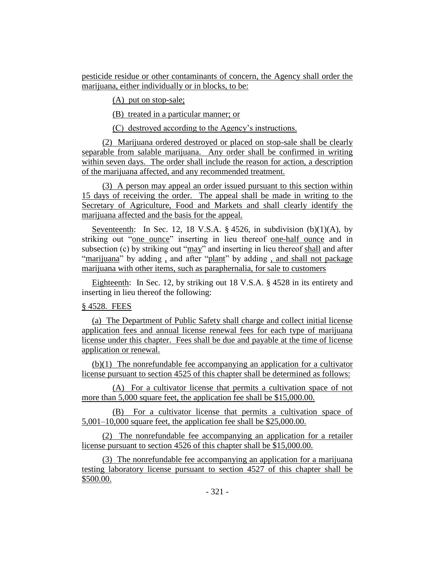pesticide residue or other contaminants of concern, the Agency shall order the marijuana, either individually or in blocks, to be:

(A) put on stop-sale;

(B) treated in a particular manner; or

(C) destroyed according to the Agency's instructions.

(2) Marijuana ordered destroyed or placed on stop-sale shall be clearly separable from salable marijuana. Any order shall be confirmed in writing within seven days. The order shall include the reason for action, a description of the marijuana affected, and any recommended treatment.

(3) A person may appeal an order issued pursuant to this section within 15 days of receiving the order. The appeal shall be made in writing to the Secretary of Agriculture, Food and Markets and shall clearly identify the marijuana affected and the basis for the appeal.

Seventeenth: In Sec. 12, 18 V.S.A.  $\S$  4526, in subdivision (b)(1)(A), by striking out "one ounce" inserting in lieu thereof one-half ounce and in subsection (c) by striking out "may" and inserting in lieu thereof shall and after "marijuana" by adding, and after "plant" by adding, and shall not package marijuana with other items, such as paraphernalia, for sale to customers

Eighteenth: In Sec. 12, by striking out 18 V.S.A. § 4528 in its entirety and inserting in lieu thereof the following:

# § 4528. FEES

(a) The Department of Public Safety shall charge and collect initial license application fees and annual license renewal fees for each type of marijuana license under this chapter. Fees shall be due and payable at the time of license application or renewal.

(b)(1) The nonrefundable fee accompanying an application for a cultivator license pursuant to section 4525 of this chapter shall be determined as follows:

(A) For a cultivator license that permits a cultivation space of not more than 5,000 square feet, the application fee shall be \$15,000.00.

(B) For a cultivator license that permits a cultivation space of 5,001–10,000 square feet, the application fee shall be \$25,000.00.

(2) The nonrefundable fee accompanying an application for a retailer license pursuant to section 4526 of this chapter shall be \$15,000.00.

(3) The nonrefundable fee accompanying an application for a marijuana testing laboratory license pursuant to section 4527 of this chapter shall be \$500.00.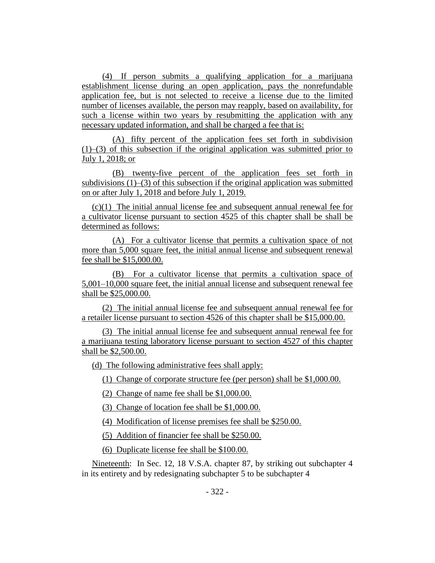(4) If person submits a qualifying application for a marijuana establishment license during an open application, pays the nonrefundable application fee, but is not selected to receive a license due to the limited number of licenses available, the person may reapply, based on availability, for such a license within two years by resubmitting the application with any necessary updated information, and shall be charged a fee that is:

(A) fifty percent of the application fees set forth in subdivision  $(1)$ –(3) of this subsection if the original application was submitted prior to July 1, 2018; or

(B) twenty-five percent of the application fees set forth in subdivisions  $(1)$ – $(3)$  of this subsection if the original application was submitted on or after July 1, 2018 and before July 1, 2019.

(c)(1) The initial annual license fee and subsequent annual renewal fee for a cultivator license pursuant to section 4525 of this chapter shall be shall be determined as follows:

(A) For a cultivator license that permits a cultivation space of not more than 5,000 square feet, the initial annual license and subsequent renewal fee shall be \$15,000.00.

(B) For a cultivator license that permits a cultivation space of 5,001–10,000 square feet, the initial annual license and subsequent renewal fee shall be \$25,000.00.

(2) The initial annual license fee and subsequent annual renewal fee for a retailer license pursuant to section 4526 of this chapter shall be \$15,000.00.

(3) The initial annual license fee and subsequent annual renewal fee for a marijuana testing laboratory license pursuant to section 4527 of this chapter shall be \$2,500.00.

(d) The following administrative fees shall apply:

(1) Change of corporate structure fee (per person) shall be \$1,000.00.

(2) Change of name fee shall be \$1,000.00.

(3) Change of location fee shall be \$1,000.00.

(4) Modification of license premises fee shall be \$250.00.

(5) Addition of financier fee shall be \$250.00.

(6) Duplicate license fee shall be \$100.00.

Nineteenth: In Sec. 12, 18 V.S.A. chapter 87, by striking out subchapter 4 in its entirety and by redesignating subchapter 5 to be subchapter 4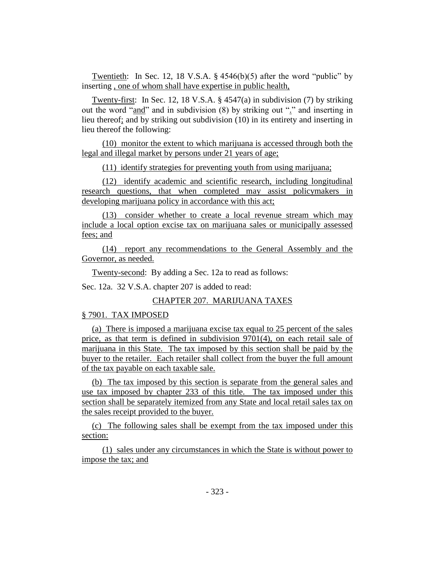Twentieth: In Sec. 12, 18 V.S.A. § 4546(b)(5) after the word "public" by inserting , one of whom shall have expertise in public health,

Twenty-first: In Sec. 12, 18 V.S.A. § 4547(a) in subdivision (7) by striking out the word "and" and in subdivision (8) by striking out "." and inserting in lieu thereof; and by striking out subdivision (10) in its entirety and inserting in lieu thereof the following:

(10) monitor the extent to which marijuana is accessed through both the legal and illegal market by persons under 21 years of age;

(11) identify strategies for preventing youth from using marijuana;

(12) identify academic and scientific research, including longitudinal research questions, that when completed may assist policymakers in developing marijuana policy in accordance with this act;

(13) consider whether to create a local revenue stream which may include a local option excise tax on marijuana sales or municipally assessed fees; and

(14) report any recommendations to the General Assembly and the Governor, as needed.

Twenty-second: By adding a Sec. 12a to read as follows:

Sec. 12a. 32 V.S.A. chapter 207 is added to read:

# CHAPTER 207. MARIJUANA TAXES

## § 7901. TAX IMPOSED

(a) There is imposed a marijuana excise tax equal to 25 percent of the sales price, as that term is defined in subdivision 9701(4), on each retail sale of marijuana in this State. The tax imposed by this section shall be paid by the buyer to the retailer. Each retailer shall collect from the buyer the full amount of the tax payable on each taxable sale.

(b) The tax imposed by this section is separate from the general sales and use tax imposed by chapter 233 of this title. The tax imposed under this section shall be separately itemized from any State and local retail sales tax on the sales receipt provided to the buyer.

(c) The following sales shall be exempt from the tax imposed under this section:

(1) sales under any circumstances in which the State is without power to impose the tax; and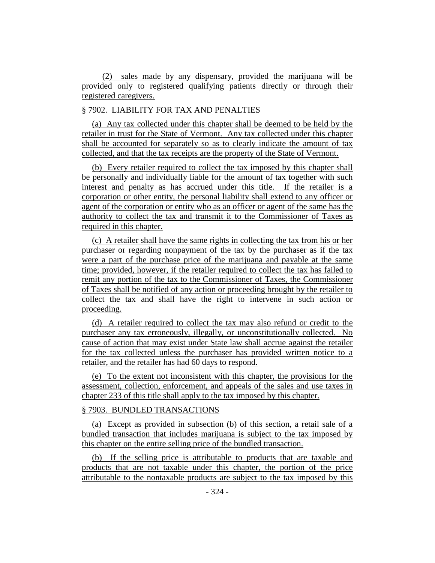(2) sales made by any dispensary, provided the marijuana will be provided only to registered qualifying patients directly or through their registered caregivers.

# § 7902. LIABILITY FOR TAX AND PENALTIES

(a) Any tax collected under this chapter shall be deemed to be held by the retailer in trust for the State of Vermont. Any tax collected under this chapter shall be accounted for separately so as to clearly indicate the amount of tax collected, and that the tax receipts are the property of the State of Vermont.

(b) Every retailer required to collect the tax imposed by this chapter shall be personally and individually liable for the amount of tax together with such interest and penalty as has accrued under this title. If the retailer is a corporation or other entity, the personal liability shall extend to any officer or agent of the corporation or entity who as an officer or agent of the same has the authority to collect the tax and transmit it to the Commissioner of Taxes as required in this chapter.

(c) A retailer shall have the same rights in collecting the tax from his or her purchaser or regarding nonpayment of the tax by the purchaser as if the tax were a part of the purchase price of the marijuana and payable at the same time; provided, however, if the retailer required to collect the tax has failed to remit any portion of the tax to the Commissioner of Taxes, the Commissioner of Taxes shall be notified of any action or proceeding brought by the retailer to collect the tax and shall have the right to intervene in such action or proceeding.

(d) A retailer required to collect the tax may also refund or credit to the purchaser any tax erroneously, illegally, or unconstitutionally collected. No cause of action that may exist under State law shall accrue against the retailer for the tax collected unless the purchaser has provided written notice to a retailer, and the retailer has had 60 days to respond.

(e) To the extent not inconsistent with this chapter, the provisions for the assessment, collection, enforcement, and appeals of the sales and use taxes in chapter 233 of this title shall apply to the tax imposed by this chapter.

## § 7903. BUNDLED TRANSACTIONS

(a) Except as provided in subsection (b) of this section, a retail sale of a bundled transaction that includes marijuana is subject to the tax imposed by this chapter on the entire selling price of the bundled transaction.

(b) If the selling price is attributable to products that are taxable and products that are not taxable under this chapter, the portion of the price attributable to the nontaxable products are subject to the tax imposed by this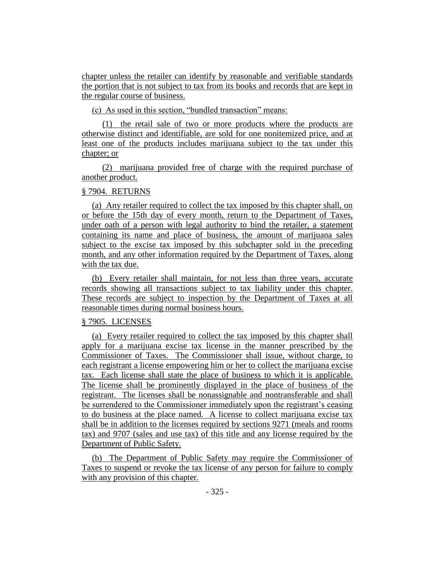chapter unless the retailer can identify by reasonable and verifiable standards the portion that is not subject to tax from its books and records that are kept in the regular course of business.

(c) As used in this section, "bundled transaction" means:

(1) the retail sale of two or more products where the products are otherwise distinct and identifiable, are sold for one nonitemized price, and at least one of the products includes marijuana subject to the tax under this chapter; or

(2) marijuana provided free of charge with the required purchase of another product.

### § 7904. RETURNS

(a) Any retailer required to collect the tax imposed by this chapter shall, on or before the 15th day of every month, return to the Department of Taxes, under oath of a person with legal authority to bind the retailer, a statement containing its name and place of business, the amount of marijuana sales subject to the excise tax imposed by this subchapter sold in the preceding month, and any other information required by the Department of Taxes, along with the tax due.

(b) Every retailer shall maintain, for not less than three years, accurate records showing all transactions subject to tax liability under this chapter. These records are subject to inspection by the Department of Taxes at all reasonable times during normal business hours.

## § 7905. LICENSES

(a) Every retailer required to collect the tax imposed by this chapter shall apply for a marijuana excise tax license in the manner prescribed by the Commissioner of Taxes. The Commissioner shall issue, without charge, to each registrant a license empowering him or her to collect the marijuana excise tax. Each license shall state the place of business to which it is applicable. The license shall be prominently displayed in the place of business of the registrant. The licenses shall be nonassignable and nontransferable and shall be surrendered to the Commissioner immediately upon the registrant's ceasing to do business at the place named. A license to collect marijuana excise tax shall be in addition to the licenses required by sections 9271 (meals and rooms tax) and 9707 (sales and use tax) of this title and any license required by the Department of Public Safety.

(b) The Department of Public Safety may require the Commissioner of Taxes to suspend or revoke the tax license of any person for failure to comply with any provision of this chapter.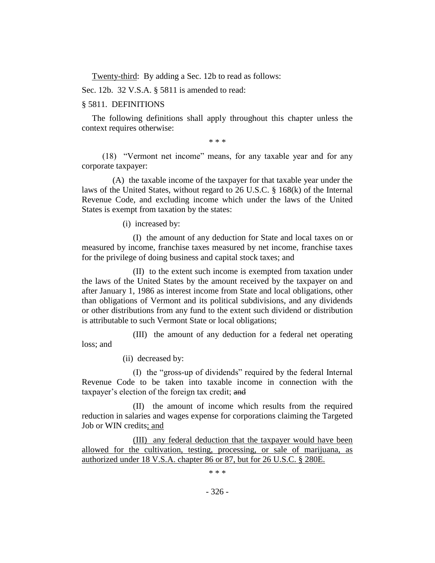Twenty-third: By adding a Sec. 12b to read as follows:

Sec. 12b. 32 V.S.A. § 5811 is amended to read:

### § 5811. DEFINITIONS

The following definitions shall apply throughout this chapter unless the context requires otherwise:

\* \* \*

(18) "Vermont net income" means, for any taxable year and for any corporate taxpayer:

(A) the taxable income of the taxpayer for that taxable year under the laws of the United States, without regard to 26 U.S.C. § 168(k) of the Internal Revenue Code, and excluding income which under the laws of the United States is exempt from taxation by the states:

(i) increased by:

(I) the amount of any deduction for State and local taxes on or measured by income, franchise taxes measured by net income, franchise taxes for the privilege of doing business and capital stock taxes; and

(II) to the extent such income is exempted from taxation under the laws of the United States by the amount received by the taxpayer on and after January 1, 1986 as interest income from State and local obligations, other than obligations of Vermont and its political subdivisions, and any dividends or other distributions from any fund to the extent such dividend or distribution is attributable to such Vermont State or local obligations;

(III) the amount of any deduction for a federal net operating loss; and

(ii) decreased by:

(I) the "gross-up of dividends" required by the federal Internal Revenue Code to be taken into taxable income in connection with the taxpayer's election of the foreign tax credit; and

(II) the amount of income which results from the required reduction in salaries and wages expense for corporations claiming the Targeted Job or WIN credits; and

(III) any federal deduction that the taxpayer would have been allowed for the cultivation, testing, processing, or sale of marijuana, as authorized under 18 V.S.A. chapter 86 or 87, but for 26 U.S.C. § 280E.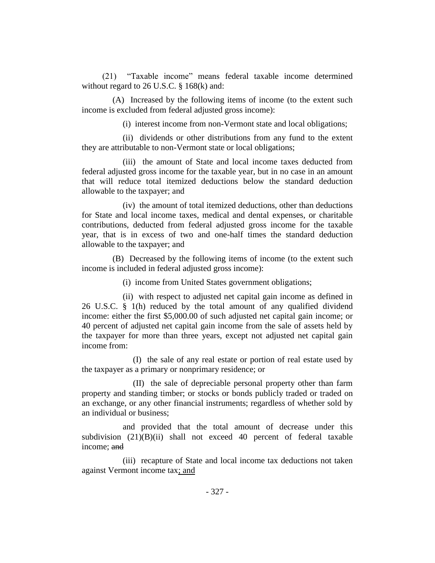(21) "Taxable income" means federal taxable income determined without regard to 26 U.S.C. § 168(k) and:

(A) Increased by the following items of income (to the extent such income is excluded from federal adjusted gross income):

(i) interest income from non-Vermont state and local obligations;

(ii) dividends or other distributions from any fund to the extent they are attributable to non-Vermont state or local obligations;

(iii) the amount of State and local income taxes deducted from federal adjusted gross income for the taxable year, but in no case in an amount that will reduce total itemized deductions below the standard deduction allowable to the taxpayer; and

(iv) the amount of total itemized deductions, other than deductions for State and local income taxes, medical and dental expenses, or charitable contributions, deducted from federal adjusted gross income for the taxable year, that is in excess of two and one-half times the standard deduction allowable to the taxpayer; and

(B) Decreased by the following items of income (to the extent such income is included in federal adjusted gross income):

(i) income from United States government obligations;

(ii) with respect to adjusted net capital gain income as defined in 26 U.S.C. § 1(h) reduced by the total amount of any qualified dividend income: either the first \$5,000.00 of such adjusted net capital gain income; or 40 percent of adjusted net capital gain income from the sale of assets held by the taxpayer for more than three years, except not adjusted net capital gain income from:

(I) the sale of any real estate or portion of real estate used by the taxpayer as a primary or nonprimary residence; or

(II) the sale of depreciable personal property other than farm property and standing timber; or stocks or bonds publicly traded or traded on an exchange, or any other financial instruments; regardless of whether sold by an individual or business;

and provided that the total amount of decrease under this subdivision (21)(B)(ii) shall not exceed 40 percent of federal taxable income; and

(iii) recapture of State and local income tax deductions not taken against Vermont income tax; and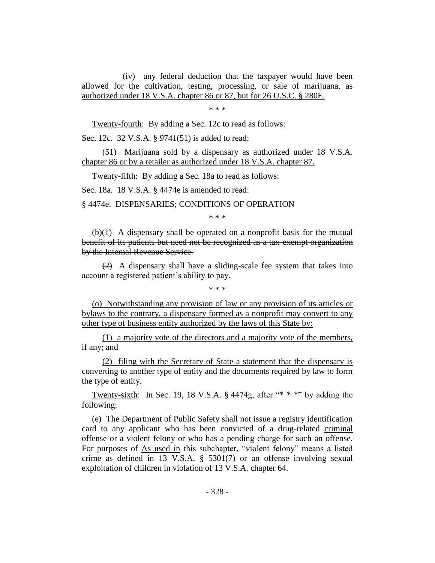(iv) any federal deduction that the taxpayer would have been allowed for the cultivation, testing, processing, or sale of marijuana, as authorized under 18 V.S.A. chapter 86 or 87, but for 26 U.S.C. § 280E.

\* \* \*

Twenty-fourth: By adding a Sec. 12c to read as follows:

Sec. 12c. 32 V.S.A. § 9741(51) is added to read:

(51) Marijuana sold by a dispensary as authorized under 18 V.S.A. chapter 86 or by a retailer as authorized under 18 V.S.A. chapter 87.

Twenty-fifth: By adding a Sec. 18a to read as follows:

Sec. 18a. 18 V.S.A. § 4474e is amended to read:

§ 4474e. DISPENSARIES; CONDITIONS OF OPERATION

\* \* \*

 $(b)(1)$  A dispensary shall be operated on a nonprofit basis for the mutual benefit of its patients but need not be recognized as a tax-exempt organization by the Internal Revenue Service.

 $(2)$  A dispensary shall have a sliding-scale fee system that takes into account a registered patient's ability to pay.

\* \* \*

(o) Notwithstanding any provision of law or any provision of its articles or bylaws to the contrary, a dispensary formed as a nonprofit may convert to any other type of business entity authorized by the laws of this State by:

(1) a majority vote of the directors and a majority vote of the members, if any; and

(2) filing with the Secretary of State a statement that the dispensary is converting to another type of entity and the documents required by law to form the type of entity.

Twenty-sixth: In Sec. 19, 18 V.S.A.  $\S$  4474g, after "\* \* \*" by adding the following:

(e) The Department of Public Safety shall not issue a registry identification card to any applicant who has been convicted of a drug-related criminal offense or a violent felony or who has a pending charge for such an offense. For purposes of As used in this subchapter, "violent felony" means a listed crime as defined in 13 V.S.A. § 5301(7) or an offense involving sexual exploitation of children in violation of 13 V.S.A. chapter 64.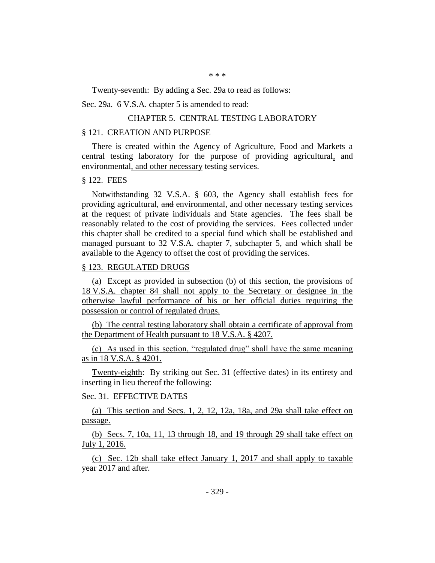\* \* \*

Twenty-seventh: By adding a Sec. 29a to read as follows:

Sec. 29a. 6 V.S.A. chapter 5 is amended to read:

#### CHAPTER 5. CENTRAL TESTING LABORATORY

#### § 121. CREATION AND PURPOSE

There is created within the Agency of Agriculture, Food and Markets a central testing laboratory for the purpose of providing agricultural, and environmental, and other necessary testing services.

#### § 122. FEES

Notwithstanding 32 V.S.A. § 603, the Agency shall establish fees for providing agricultural, and environmental, and other necessary testing services at the request of private individuals and State agencies. The fees shall be reasonably related to the cost of providing the services. Fees collected under this chapter shall be credited to a special fund which shall be established and managed pursuant to 32 V.S.A. chapter 7, subchapter 5, and which shall be available to the Agency to offset the cost of providing the services.

### § 123. REGULATED DRUGS

(a) Except as provided in subsection (b) of this section, the provisions of 18 V.S.A. chapter 84 shall not apply to the Secretary or designee in the otherwise lawful performance of his or her official duties requiring the possession or control of regulated drugs.

(b) The central testing laboratory shall obtain a certificate of approval from the Department of Health pursuant to 18 V.S.A. § 4207.

(c) As used in this section, "regulated drug" shall have the same meaning as in 18 V.S.A. § 4201.

Twenty-eighth: By striking out Sec. 31 (effective dates) in its entirety and inserting in lieu thereof the following:

## Sec. 31. EFFECTIVE DATES

(a) This section and Secs. 1, 2, 12, 12a, 18a, and 29a shall take effect on passage.

(b) Secs. 7, 10a, 11, 13 through 18, and 19 through 29 shall take effect on July 1, 2016.

(c) Sec. 12b shall take effect January 1, 2017 and shall apply to taxable year 2017 and after.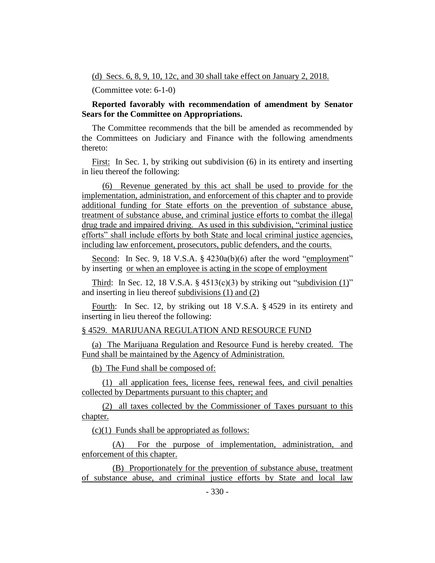(d) Secs. 6, 8, 9, 10, 12c, and 30 shall take effect on January 2, 2018.

(Committee vote: 6-1-0)

# **Reported favorably with recommendation of amendment by Senator Sears for the Committee on Appropriations.**

The Committee recommends that the bill be amended as recommended by the Committees on Judiciary and Finance with the following amendments thereto:

First: In Sec. 1, by striking out subdivision (6) in its entirety and inserting in lieu thereof the following:

(6) Revenue generated by this act shall be used to provide for the implementation, administration, and enforcement of this chapter and to provide additional funding for State efforts on the prevention of substance abuse, treatment of substance abuse, and criminal justice efforts to combat the illegal drug trade and impaired driving. As used in this subdivision, "criminal justice efforts" shall include efforts by both State and local criminal justice agencies, including law enforcement, prosecutors, public defenders, and the courts.

Second: In Sec. 9, 18 V.S.A. § 4230a(b)(6) after the word "employment" by inserting or when an employee is acting in the scope of employment

Third: In Sec. 12, 18 V.S.A.  $\S$  4513(c)(3) by striking out "subdivision (1)" and inserting in lieu thereof subdivisions (1) and (2)

Fourth: In Sec. 12, by striking out 18 V.S.A. § 4529 in its entirety and inserting in lieu thereof the following:

## § 4529. MARIJUANA REGULATION AND RESOURCE FUND

(a) The Marijuana Regulation and Resource Fund is hereby created. The Fund shall be maintained by the Agency of Administration.

(b) The Fund shall be composed of:

(1) all application fees, license fees, renewal fees, and civil penalties collected by Departments pursuant to this chapter; and

(2) all taxes collected by the Commissioner of Taxes pursuant to this chapter.

 $(c)(1)$  Funds shall be appropriated as follows:

(A) For the purpose of implementation, administration, and enforcement of this chapter.

(B) Proportionately for the prevention of substance abuse, treatment of substance abuse, and criminal justice efforts by State and local law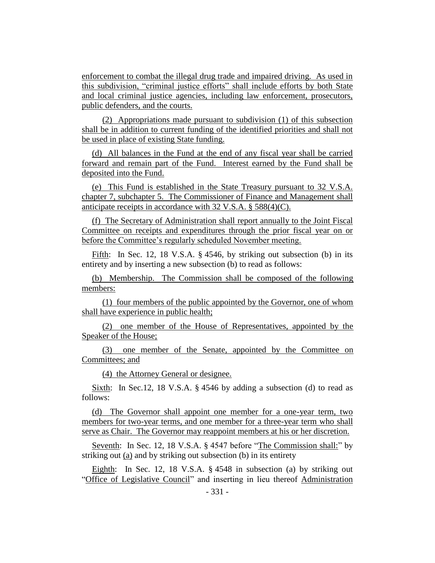enforcement to combat the illegal drug trade and impaired driving. As used in this subdivision, "criminal justice efforts" shall include efforts by both State and local criminal justice agencies, including law enforcement, prosecutors, public defenders, and the courts.

(2) Appropriations made pursuant to subdivision (1) of this subsection shall be in addition to current funding of the identified priorities and shall not be used in place of existing State funding.

(d) All balances in the Fund at the end of any fiscal year shall be carried forward and remain part of the Fund. Interest earned by the Fund shall be deposited into the Fund.

(e) This Fund is established in the State Treasury pursuant to 32 V.S.A. chapter 7, subchapter 5. The Commissioner of Finance and Management shall anticipate receipts in accordance with 32 V.S.A. § 588(4)(C).

(f) The Secretary of Administration shall report annually to the Joint Fiscal Committee on receipts and expenditures through the prior fiscal year on or before the Committee's regularly scheduled November meeting.

Fifth: In Sec. 12, 18 V.S.A. § 4546, by striking out subsection (b) in its entirety and by inserting a new subsection (b) to read as follows:

(b) Membership. The Commission shall be composed of the following members:

(1) four members of the public appointed by the Governor, one of whom shall have experience in public health;

(2) one member of the House of Representatives, appointed by the Speaker of the House;

(3) one member of the Senate, appointed by the Committee on Committees; and

(4) the Attorney General or designee.

Sixth: In Sec.12, 18 V.S.A. § 4546 by adding a subsection (d) to read as follows:

(d) The Governor shall appoint one member for a one-year term, two members for two-year terms, and one member for a three-year term who shall serve as Chair. The Governor may reappoint members at his or her discretion.

Seventh: In Sec. 12, 18 V.S.A. § 4547 before "The Commission shall:" by striking out (a) and by striking out subsection (b) in its entirety

Eighth: In Sec. 12, 18 V.S.A. § 4548 in subsection (a) by striking out "Office of Legislative Council" and inserting in lieu thereof Administration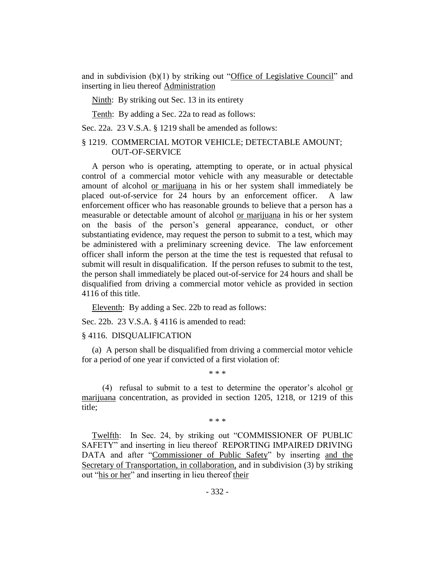and in subdivision (b)(1) by striking out "Office of Legislative Council" and inserting in lieu thereof Administration

Ninth: By striking out Sec. 13 in its entirety

Tenth: By adding a Sec. 22a to read as follows:

Sec. 22a. 23 V.S.A. § 1219 shall be amended as follows:

# § 1219. COMMERCIAL MOTOR VEHICLE; DETECTABLE AMOUNT; OUT-OF-SERVICE

A person who is operating, attempting to operate, or in actual physical control of a commercial motor vehicle with any measurable or detectable amount of alcohol or marijuana in his or her system shall immediately be placed out-of-service for 24 hours by an enforcement officer. A law enforcement officer who has reasonable grounds to believe that a person has a measurable or detectable amount of alcohol or marijuana in his or her system on the basis of the person's general appearance, conduct, or other substantiating evidence, may request the person to submit to a test, which may be administered with a preliminary screening device. The law enforcement officer shall inform the person at the time the test is requested that refusal to submit will result in disqualification. If the person refuses to submit to the test, the person shall immediately be placed out-of-service for 24 hours and shall be disqualified from driving a commercial motor vehicle as provided in section 4116 of this title.

Eleventh: By adding a Sec. 22b to read as follows:

Sec. 22b. 23 V.S.A. § 4116 is amended to read:

#### § 4116. DISQUALIFICATION

(a) A person shall be disqualified from driving a commercial motor vehicle for a period of one year if convicted of a first violation of:

\* \* \*

(4) refusal to submit to a test to determine the operator's alcohol or marijuana concentration, as provided in section 1205, 1218, or 1219 of this title;

\* \* \*

Twelfth: In Sec. 24, by striking out "COMMISSIONER OF PUBLIC SAFETY" and inserting in lieu thereof REPORTING IMPAIRED DRIVING DATA and after "Commissioner of Public Safety" by inserting and the Secretary of Transportation, in collaboration, and in subdivision (3) by striking out "his or her" and inserting in lieu thereof their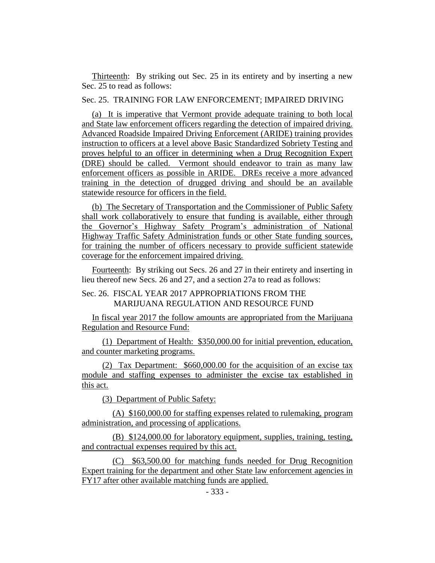Thirteenth: By striking out Sec. 25 in its entirety and by inserting a new Sec. 25 to read as follows:

Sec. 25. TRAINING FOR LAW ENFORCEMENT; IMPAIRED DRIVING

(a) It is imperative that Vermont provide adequate training to both local and State law enforcement officers regarding the detection of impaired driving. Advanced Roadside Impaired Driving Enforcement (ARIDE) training provides instruction to officers at a level above Basic Standardized Sobriety Testing and proves helpful to an officer in determining when a Drug Recognition Expert (DRE) should be called. Vermont should endeavor to train as many law enforcement officers as possible in ARIDE. DREs receive a more advanced training in the detection of drugged driving and should be an available statewide resource for officers in the field.

(b) The Secretary of Transportation and the Commissioner of Public Safety shall work collaboratively to ensure that funding is available, either through the Governor's Highway Safety Program's administration of National Highway Traffic Safety Administration funds or other State funding sources, for training the number of officers necessary to provide sufficient statewide coverage for the enforcement impaired driving.

Fourteenth: By striking out Secs. 26 and 27 in their entirety and inserting in lieu thereof new Secs. 26 and 27, and a section 27a to read as follows:

# Sec. 26. FISCAL YEAR 2017 APPROPRIATIONS FROM THE MARIJUANA REGULATION AND RESOURCE FUND

In fiscal year 2017 the follow amounts are appropriated from the Marijuana Regulation and Resource Fund:

(1) Department of Health: \$350,000.00 for initial prevention, education, and counter marketing programs.

(2) Tax Department: \$660,000.00 for the acquisition of an excise tax module and staffing expenses to administer the excise tax established in this act.

(3) Department of Public Safety:

(A) \$160,000.00 for staffing expenses related to rulemaking, program administration, and processing of applications.

(B) \$124,000.00 for laboratory equipment, supplies, training, testing, and contractual expenses required by this act.

(C) \$63,500.00 for matching funds needed for Drug Recognition Expert training for the department and other State law enforcement agencies in FY17 after other available matching funds are applied.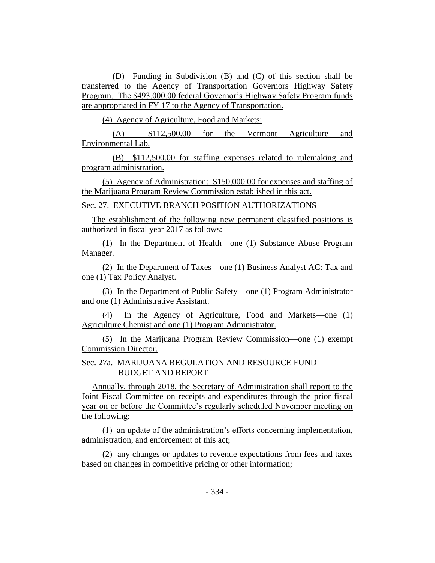(D) Funding in Subdivision (B) and (C) of this section shall be transferred to the Agency of Transportation Governors Highway Safety Program. The \$493,000.00 federal Governor's Highway Safety Program funds are appropriated in FY 17 to the Agency of Transportation.

(4) Agency of Agriculture, Food and Markets:

(A) \$112,500.00 for the Vermont Agriculture and Environmental Lab.

(B) \$112,500.00 for staffing expenses related to rulemaking and program administration.

(5) Agency of Administration: \$150,000.00 for expenses and staffing of the Marijuana Program Review Commission established in this act.

Sec. 27. EXECUTIVE BRANCH POSITION AUTHORIZATIONS

The establishment of the following new permanent classified positions is authorized in fiscal year 2017 as follows:

(1) In the Department of Health—one (1) Substance Abuse Program Manager.

(2) In the Department of Taxes—one (1) Business Analyst AC: Tax and one (1) Tax Policy Analyst.

(3) In the Department of Public Safety—one (1) Program Administrator and one (1) Administrative Assistant.

(4) In the Agency of Agriculture, Food and Markets—one (1) Agriculture Chemist and one (1) Program Administrator.

(5) In the Marijuana Program Review Commission—one (1) exempt Commission Director.

Sec. 27a. MARIJUANA REGULATION AND RESOURCE FUND BUDGET AND REPORT

Annually, through 2018, the Secretary of Administration shall report to the Joint Fiscal Committee on receipts and expenditures through the prior fiscal year on or before the Committee's regularly scheduled November meeting on the following:

(1) an update of the administration's efforts concerning implementation, administration, and enforcement of this act;

(2) any changes or updates to revenue expectations from fees and taxes based on changes in competitive pricing or other information;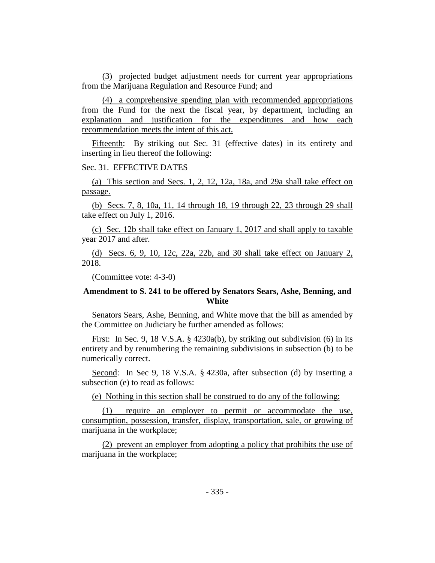(3) projected budget adjustment needs for current year appropriations from the Marijuana Regulation and Resource Fund; and

(4) a comprehensive spending plan with recommended appropriations from the Fund for the next the fiscal year, by department, including an explanation and justification for the expenditures and how each recommendation meets the intent of this act.

Fifteenth: By striking out Sec. 31 (effective dates) in its entirety and inserting in lieu thereof the following:

## Sec. 31. EFFECTIVE DATES

(a) This section and Secs. 1, 2, 12, 12a, 18a, and 29a shall take effect on passage.

(b) Secs. 7, 8, 10a, 11, 14 through 18, 19 through 22, 23 through 29 shall take effect on July 1, 2016.

(c) Sec. 12b shall take effect on January 1, 2017 and shall apply to taxable year 2017 and after.

(d) Secs. 6, 9, 10, 12c, 22a, 22b, and 30 shall take effect on January 2, 2018.

(Committee vote: 4-3-0)

## **Amendment to S. 241 to be offered by Senators Sears, Ashe, Benning, and White**

Senators Sears, Ashe, Benning, and White move that the bill as amended by the Committee on Judiciary be further amended as follows:

First: In Sec. 9, 18 V.S.A. § 4230a(b), by striking out subdivision (6) in its entirety and by renumbering the remaining subdivisions in subsection (b) to be numerically correct.

Second: In Sec 9, 18 V.S.A. § 4230a, after subsection (d) by inserting a subsection (e) to read as follows:

(e) Nothing in this section shall be construed to do any of the following:

(1) require an employer to permit or accommodate the use, consumption, possession, transfer, display, transportation, sale, or growing of marijuana in the workplace;

(2) prevent an employer from adopting a policy that prohibits the use of marijuana in the workplace;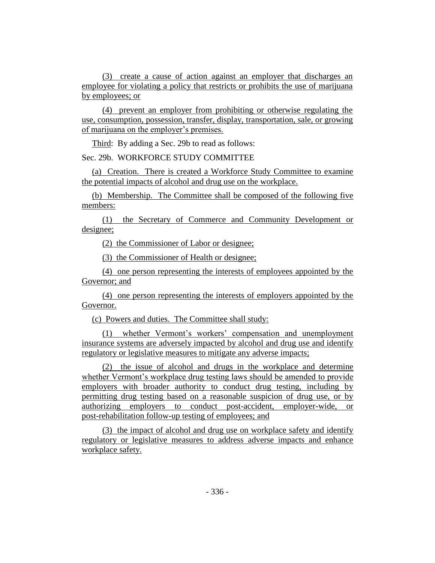(3) create a cause of action against an employer that discharges an employee for violating a policy that restricts or prohibits the use of marijuana by employees; or

(4) prevent an employer from prohibiting or otherwise regulating the use, consumption, possession, transfer, display, transportation, sale, or growing of marijuana on the employer's premises.

Third: By adding a Sec. 29b to read as follows:

Sec. 29b. WORKFORCE STUDY COMMITTEE

(a) Creation. There is created a Workforce Study Committee to examine the potential impacts of alcohol and drug use on the workplace.

(b) Membership. The Committee shall be composed of the following five members:

(1) the Secretary of Commerce and Community Development or designee;

(2) the Commissioner of Labor or designee;

(3) the Commissioner of Health or designee;

(4) one person representing the interests of employees appointed by the Governor; and

(4) one person representing the interests of employers appointed by the Governor.

(c) Powers and duties. The Committee shall study:

(1) whether Vermont's workers' compensation and unemployment insurance systems are adversely impacted by alcohol and drug use and identify regulatory or legislative measures to mitigate any adverse impacts;

(2) the issue of alcohol and drugs in the workplace and determine whether Vermont's workplace drug testing laws should be amended to provide employers with broader authority to conduct drug testing, including by permitting drug testing based on a reasonable suspicion of drug use, or by authorizing employers to conduct post-accident, employer-wide, or post-rehabilitation follow-up testing of employees; and

(3) the impact of alcohol and drug use on workplace safety and identify regulatory or legislative measures to address adverse impacts and enhance workplace safety.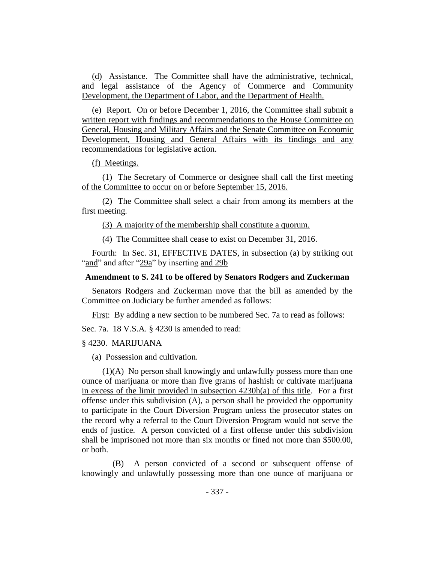(d) Assistance. The Committee shall have the administrative, technical, and legal assistance of the Agency of Commerce and Community Development, the Department of Labor, and the Department of Health.

(e) Report. On or before December 1, 2016, the Committee shall submit a written report with findings and recommendations to the House Committee on General, Housing and Military Affairs and the Senate Committee on Economic Development, Housing and General Affairs with its findings and any recommendations for legislative action.

(f) Meetings.

(1) The Secretary of Commerce or designee shall call the first meeting of the Committee to occur on or before September 15, 2016.

(2) The Committee shall select a chair from among its members at the first meeting.

(3) A majority of the membership shall constitute a quorum.

(4) The Committee shall cease to exist on December 31, 2016.

Fourth: In Sec. 31, EFFECTIVE DATES, in subsection (a) by striking out "and" and after "29a" by inserting and 29b

## **Amendment to S. 241 to be offered by Senators Rodgers and Zuckerman**

Senators Rodgers and Zuckerman move that the bill as amended by the Committee on Judiciary be further amended as follows:

First: By adding a new section to be numbered Sec. 7a to read as follows:

Sec. 7a. 18 V.S.A. § 4230 is amended to read:

#### § 4230. MARIJUANA

(a) Possession and cultivation.

(1)(A) No person shall knowingly and unlawfully possess more than one ounce of marijuana or more than five grams of hashish or cultivate marijuana in excess of the limit provided in subsection 4230h(a) of this title. For a first offense under this subdivision (A), a person shall be provided the opportunity to participate in the Court Diversion Program unless the prosecutor states on the record why a referral to the Court Diversion Program would not serve the ends of justice. A person convicted of a first offense under this subdivision shall be imprisoned not more than six months or fined not more than \$500.00, or both.

(B) A person convicted of a second or subsequent offense of knowingly and unlawfully possessing more than one ounce of marijuana or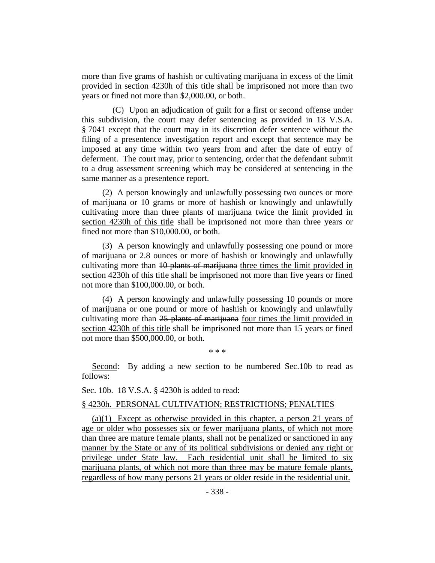more than five grams of hashish or cultivating marijuana in excess of the limit provided in section 4230h of this title shall be imprisoned not more than two years or fined not more than \$2,000.00, or both.

(C) Upon an adjudication of guilt for a first or second offense under this subdivision, the court may defer sentencing as provided in 13 V.S.A. § 7041 except that the court may in its discretion defer sentence without the filing of a presentence investigation report and except that sentence may be imposed at any time within two years from and after the date of entry of deferment. The court may, prior to sentencing, order that the defendant submit to a drug assessment screening which may be considered at sentencing in the same manner as a presentence report.

(2) A person knowingly and unlawfully possessing two ounces or more of marijuana or 10 grams or more of hashish or knowingly and unlawfully cultivating more than three plants of marijuana twice the limit provided in section 4230h of this title shall be imprisoned not more than three years or fined not more than \$10,000.00, or both.

(3) A person knowingly and unlawfully possessing one pound or more of marijuana or 2.8 ounces or more of hashish or knowingly and unlawfully cultivating more than 10 plants of marijuana three times the limit provided in section 4230h of this title shall be imprisoned not more than five years or fined not more than \$100,000.00, or both.

(4) A person knowingly and unlawfully possessing 10 pounds or more of marijuana or one pound or more of hashish or knowingly and unlawfully cultivating more than 25 plants of marijuana four times the limit provided in section 4230h of this title shall be imprisoned not more than 15 years or fined not more than \$500,000.00, or both.

\* \* \*

Second: By adding a new section to be numbered Sec.10b to read as follows:

Sec. 10b. 18 V.S.A. § 4230h is added to read:

#### § 4230h. PERSONAL CULTIVATION; RESTRICTIONS; PENALTIES

(a)(1) Except as otherwise provided in this chapter, a person 21 years of age or older who possesses six or fewer marijuana plants, of which not more than three are mature female plants, shall not be penalized or sanctioned in any manner by the State or any of its political subdivisions or denied any right or privilege under State law. Each residential unit shall be limited to six marijuana plants, of which not more than three may be mature female plants, regardless of how many persons 21 years or older reside in the residential unit.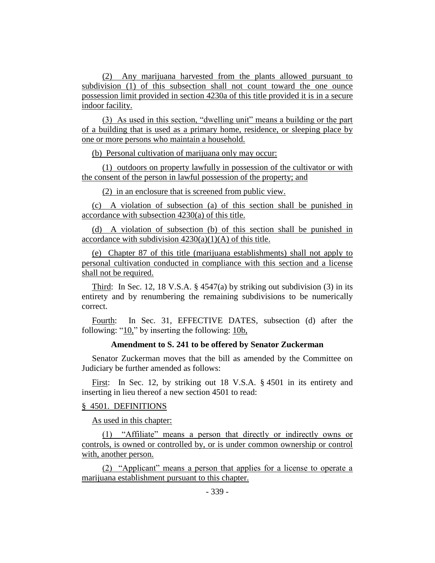(2) Any marijuana harvested from the plants allowed pursuant to subdivision (1) of this subsection shall not count toward the one ounce possession limit provided in section 4230a of this title provided it is in a secure indoor facility.

(3) As used in this section, "dwelling unit" means a building or the part of a building that is used as a primary home, residence, or sleeping place by one or more persons who maintain a household.

(b) Personal cultivation of marijuana only may occur:

(1) outdoors on property lawfully in possession of the cultivator or with the consent of the person in lawful possession of the property; and

(2) in an enclosure that is screened from public view.

(c) A violation of subsection (a) of this section shall be punished in accordance with subsection 4230(a) of this title.

(d) A violation of subsection (b) of this section shall be punished in accordance with subdivision  $4230(a)(1)(A)$  of this title.

(e) Chapter 87 of this title (marijuana establishments) shall not apply to personal cultivation conducted in compliance with this section and a license shall not be required.

Third: In Sec. 12, 18 V.S.A.  $\S$  4547(a) by striking out subdivision (3) in its entirety and by renumbering the remaining subdivisions to be numerically correct.

Fourth: In Sec. 31, EFFECTIVE DATES, subsection (d) after the following: " $10$ ," by inserting the following:  $10b$ ,

### **Amendment to S. 241 to be offered by Senator Zuckerman**

Senator Zuckerman moves that the bill as amended by the Committee on Judiciary be further amended as follows:

First: In Sec. 12, by striking out 18 V.S.A. § 4501 in its entirety and inserting in lieu thereof a new section 4501 to read:

### § 4501. DEFINITIONS

As used in this chapter:

(1) "Affiliate" means a person that directly or indirectly owns or controls, is owned or controlled by, or is under common ownership or control with, another person.

(2) "Applicant" means a person that applies for a license to operate a marijuana establishment pursuant to this chapter.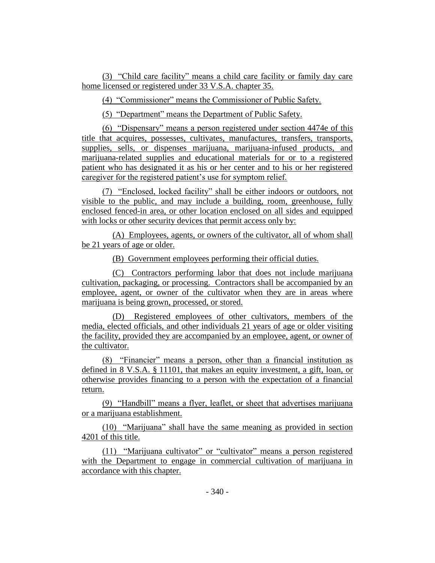(3) "Child care facility" means a child care facility or family day care home licensed or registered under 33 V.S.A. chapter 35.

(4) "Commissioner" means the Commissioner of Public Safety.

(5) "Department" means the Department of Public Safety.

(6) "Dispensary" means a person registered under section 4474e of this title that acquires, possesses, cultivates, manufactures, transfers, transports, supplies, sells, or dispenses marijuana, marijuana-infused products, and marijuana-related supplies and educational materials for or to a registered patient who has designated it as his or her center and to his or her registered caregiver for the registered patient's use for symptom relief.

(7) "Enclosed, locked facility" shall be either indoors or outdoors, not visible to the public, and may include a building, room, greenhouse, fully enclosed fenced-in area, or other location enclosed on all sides and equipped with locks or other security devices that permit access only by:

(A) Employees, agents, or owners of the cultivator, all of whom shall be 21 years of age or older.

(B) Government employees performing their official duties.

(C) Contractors performing labor that does not include marijuana cultivation, packaging, or processing. Contractors shall be accompanied by an employee, agent, or owner of the cultivator when they are in areas where marijuana is being grown, processed, or stored.

(D) Registered employees of other cultivators, members of the media, elected officials, and other individuals 21 years of age or older visiting the facility, provided they are accompanied by an employee, agent, or owner of the cultivator.

(8) "Financier" means a person, other than a financial institution as defined in 8 V.S.A. § 11101, that makes an equity investment, a gift, loan, or otherwise provides financing to a person with the expectation of a financial return.

(9) "Handbill" means a flyer, leaflet, or sheet that advertises marijuana or a marijuana establishment.

(10) "Marijuana" shall have the same meaning as provided in section 4201 of this title.

(11) "Marijuana cultivator" or "cultivator" means a person registered with the Department to engage in commercial cultivation of marijuana in accordance with this chapter.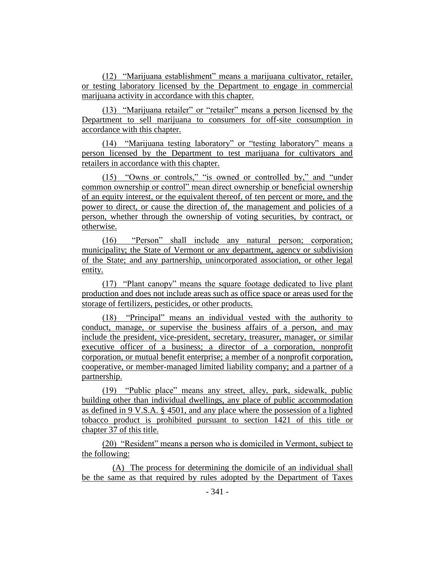(12) "Marijuana establishment" means a marijuana cultivator, retailer, or testing laboratory licensed by the Department to engage in commercial marijuana activity in accordance with this chapter.

(13) "Marijuana retailer" or "retailer" means a person licensed by the Department to sell marijuana to consumers for off-site consumption in accordance with this chapter.

(14) "Marijuana testing laboratory" or "testing laboratory" means a person licensed by the Department to test marijuana for cultivators and retailers in accordance with this chapter.

(15) "Owns or controls," "is owned or controlled by," and "under common ownership or control" mean direct ownership or beneficial ownership of an equity interest, or the equivalent thereof, of ten percent or more, and the power to direct, or cause the direction of, the management and policies of a person, whether through the ownership of voting securities, by contract, or otherwise.

(16) "Person" shall include any natural person; corporation; municipality; the State of Vermont or any department, agency or subdivision of the State; and any partnership, unincorporated association, or other legal entity.

(17) "Plant canopy" means the square footage dedicated to live plant production and does not include areas such as office space or areas used for the storage of fertilizers, pesticides, or other products.

(18) "Principal" means an individual vested with the authority to conduct, manage, or supervise the business affairs of a person, and may include the president, vice-president, secretary, treasurer, manager, or similar executive officer of a business; a director of a corporation, nonprofit corporation, or mutual benefit enterprise; a member of a nonprofit corporation, cooperative, or member-managed limited liability company; and a partner of a partnership.

(19) "Public place" means any street, alley, park, sidewalk, public building other than individual dwellings, any place of public accommodation as defined in 9 V.S.A. § 4501, and any place where the possession of a lighted tobacco product is prohibited pursuant to section 1421 of this title or chapter 37 of this title.

(20) "Resident" means a person who is domiciled in Vermont, subject to the following:

(A) The process for determining the domicile of an individual shall be the same as that required by rules adopted by the Department of Taxes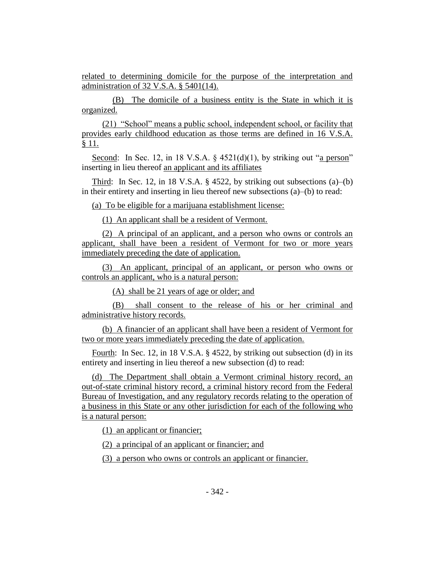related to determining domicile for the purpose of the interpretation and administration of 32 V.S.A. § 5401(14).

(B) The domicile of a business entity is the State in which it is organized.

(21) "School" means a public school, independent school, or facility that provides early childhood education as those terms are defined in 16 V.S.A. § 11.

Second: In Sec. 12, in 18 V.S.A.  $\S$  4521(d)(1), by striking out "a person" inserting in lieu thereof an applicant and its affiliates

Third: In Sec. 12, in 18 V.S.A. § 4522, by striking out subsections (a)–(b) in their entirety and inserting in lieu thereof new subsections (a)–(b) to read:

(a) To be eligible for a marijuana establishment license:

(1) An applicant shall be a resident of Vermont.

(2) A principal of an applicant, and a person who owns or controls an applicant, shall have been a resident of Vermont for two or more years immediately preceding the date of application.

(3) An applicant, principal of an applicant, or person who owns or controls an applicant, who is a natural person:

(A) shall be 21 years of age or older; and

(B) shall consent to the release of his or her criminal and administrative history records.

(b) A financier of an applicant shall have been a resident of Vermont for two or more years immediately preceding the date of application.

Fourth: In Sec. 12, in 18 V.S.A. § 4522, by striking out subsection (d) in its entirety and inserting in lieu thereof a new subsection (d) to read:

(d) The Department shall obtain a Vermont criminal history record, an out-of-state criminal history record, a criminal history record from the Federal Bureau of Investigation, and any regulatory records relating to the operation of a business in this State or any other jurisdiction for each of the following who is a natural person:

(1) an applicant or financier;

(2) a principal of an applicant or financier; and

(3) a person who owns or controls an applicant or financier.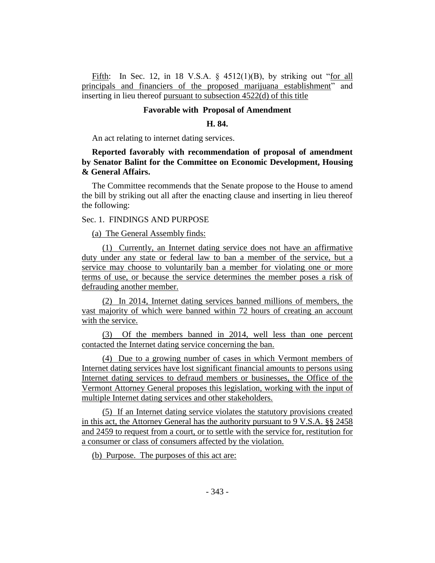Fifth: In Sec. 12, in 18 V.S.A.  $\frac{6}{9}$  4512(1)(B), by striking out "for all principals and financiers of the proposed marijuana establishment" and inserting in lieu thereof pursuant to subsection 4522(d) of this title

## **Favorable with Proposal of Amendment**

#### **H. 84.**

An act relating to internet dating services.

# **Reported favorably with recommendation of proposal of amendment by Senator Balint for the Committee on Economic Development, Housing & General Affairs.**

The Committee recommends that the Senate propose to the House to amend the bill by striking out all after the enacting clause and inserting in lieu thereof the following:

### Sec. 1. FINDINGS AND PURPOSE

(a) The General Assembly finds:

(1) Currently, an Internet dating service does not have an affirmative duty under any state or federal law to ban a member of the service, but a service may choose to voluntarily ban a member for violating one or more terms of use, or because the service determines the member poses a risk of defrauding another member.

(2) In 2014, Internet dating services banned millions of members, the vast majority of which were banned within 72 hours of creating an account with the service.

(3) Of the members banned in 2014, well less than one percent contacted the Internet dating service concerning the ban.

(4) Due to a growing number of cases in which Vermont members of Internet dating services have lost significant financial amounts to persons using Internet dating services to defraud members or businesses, the Office of the Vermont Attorney General proposes this legislation, working with the input of multiple Internet dating services and other stakeholders.

(5) If an Internet dating service violates the statutory provisions created in this act, the Attorney General has the authority pursuant to 9 V.S.A. §§ 2458 and 2459 to request from a court, or to settle with the service for, restitution for a consumer or class of consumers affected by the violation.

(b) Purpose. The purposes of this act are: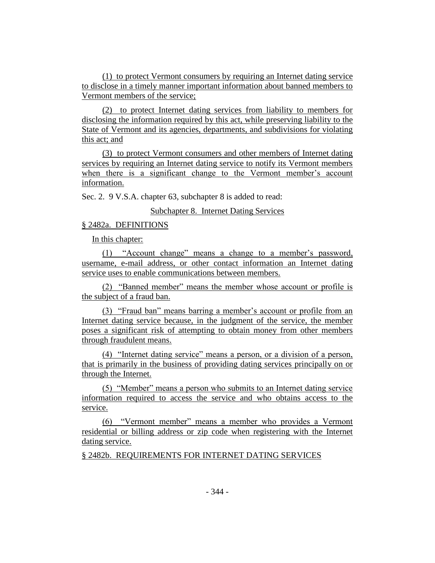(1) to protect Vermont consumers by requiring an Internet dating service to disclose in a timely manner important information about banned members to Vermont members of the service;

(2) to protect Internet dating services from liability to members for disclosing the information required by this act, while preserving liability to the State of Vermont and its agencies, departments, and subdivisions for violating this act; and

(3) to protect Vermont consumers and other members of Internet dating services by requiring an Internet dating service to notify its Vermont members when there is a significant change to the Vermont member's account information.

Sec. 2. 9 V.S.A. chapter 63, subchapter 8 is added to read:

Subchapter 8. Internet Dating Services

## § 2482a. DEFINITIONS

In this chapter:

(1) "Account change" means a change to a member's password, username, e-mail address, or other contact information an Internet dating service uses to enable communications between members.

(2) "Banned member" means the member whose account or profile is the subject of a fraud ban.

(3) "Fraud ban" means barring a member's account or profile from an Internet dating service because, in the judgment of the service, the member poses a significant risk of attempting to obtain money from other members through fraudulent means.

(4) "Internet dating service" means a person, or a division of a person, that is primarily in the business of providing dating services principally on or through the Internet.

(5) "Member" means a person who submits to an Internet dating service information required to access the service and who obtains access to the service.

(6) "Vermont member" means a member who provides a Vermont residential or billing address or zip code when registering with the Internet dating service.

§ 2482b. REQUIREMENTS FOR INTERNET DATING SERVICES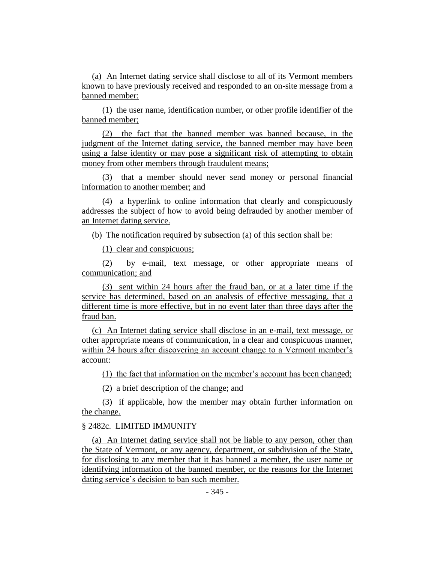(a) An Internet dating service shall disclose to all of its Vermont members known to have previously received and responded to an on-site message from a banned member:

(1) the user name, identification number, or other profile identifier of the banned member;

(2) the fact that the banned member was banned because, in the judgment of the Internet dating service, the banned member may have been using a false identity or may pose a significant risk of attempting to obtain money from other members through fraudulent means;

(3) that a member should never send money or personal financial information to another member; and

(4) a hyperlink to online information that clearly and conspicuously addresses the subject of how to avoid being defrauded by another member of an Internet dating service.

(b) The notification required by subsection (a) of this section shall be:

(1) clear and conspicuous;

(2) by e-mail, text message, or other appropriate means of communication; and

(3) sent within 24 hours after the fraud ban, or at a later time if the service has determined, based on an analysis of effective messaging, that a different time is more effective, but in no event later than three days after the fraud ban.

(c) An Internet dating service shall disclose in an e-mail, text message, or other appropriate means of communication, in a clear and conspicuous manner, within 24 hours after discovering an account change to a Vermont member's account:

(1) the fact that information on the member's account has been changed;

(2) a brief description of the change; and

(3) if applicable, how the member may obtain further information on the change.

## § 2482c. LIMITED IMMUNITY

(a) An Internet dating service shall not be liable to any person, other than the State of Vermont, or any agency, department, or subdivision of the State, for disclosing to any member that it has banned a member, the user name or identifying information of the banned member, or the reasons for the Internet dating service's decision to ban such member.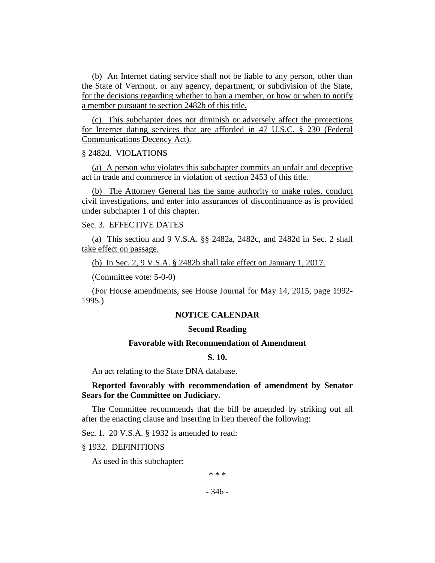(b) An Internet dating service shall not be liable to any person, other than the State of Vermont, or any agency, department, or subdivision of the State, for the decisions regarding whether to ban a member, or how or when to notify a member pursuant to section 2482b of this title.

(c) This subchapter does not diminish or adversely affect the protections for Internet dating services that are afforded in 47 U.S.C. § 230 (Federal Communications Decency Act).

### § 2482d. VIOLATIONS

(a) A person who violates this subchapter commits an unfair and deceptive act in trade and commerce in violation of section 2453 of this title.

(b) The Attorney General has the same authority to make rules, conduct civil investigations, and enter into assurances of discontinuance as is provided under subchapter 1 of this chapter.

# Sec. 3. EFFECTIVE DATES

(a) This section and 9 V.S.A. §§ 2482a, 2482c, and 2482d in Sec. 2 shall take effect on passage.

(b) In Sec. 2, 9 V.S.A. § 2482b shall take effect on January 1, 2017.

(Committee vote: 5-0-0)

(For House amendments, see House Journal for May 14, 2015, page 1992- 1995.)

#### **NOTICE CALENDAR**

### **Second Reading**

#### **Favorable with Recommendation of Amendment**

## **S. 10.**

An act relating to the State DNA database.

## **Reported favorably with recommendation of amendment by Senator Sears for the Committee on Judiciary.**

The Committee recommends that the bill be amended by striking out all after the enacting clause and inserting in lieu thereof the following:

Sec. 1. 20 V.S.A. § 1932 is amended to read:

## § 1932. DEFINITIONS

As used in this subchapter:

\* \* \*

- 346 -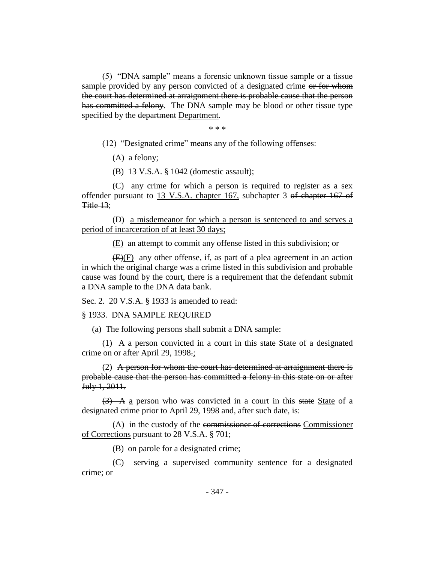(5) "DNA sample" means a forensic unknown tissue sample or a tissue sample provided by any person convicted of a designated crime or for whom the court has determined at arraignment there is probable cause that the person has committed a felony. The DNA sample may be blood or other tissue type specified by the department Department.

\* \* \*

(12) "Designated crime" means any of the following offenses:

(A) a felony;

(B) 13 V.S.A. § 1042 (domestic assault);

(C) any crime for which a person is required to register as a sex offender pursuant to 13 V.S.A. chapter 167, subchapter 3 of chapter 167 of Title 13;

(D) a misdemeanor for which a person is sentenced to and serves a period of incarceration of at least 30 days;

(E) an attempt to commit any offense listed in this subdivision; or

 $(E)(F)$  any other offense, if, as part of a plea agreement in an action in which the original charge was a crime listed in this subdivision and probable cause was found by the court, there is a requirement that the defendant submit a DNA sample to the DNA data bank.

Sec. 2. 20 V.S.A. § 1933 is amended to read:

§ 1933. DNA SAMPLE REQUIRED

(a) The following persons shall submit a DNA sample:

(1) A  $\alpha$  person convicted in a court in this state State of a designated crime on or after April 29, 1998.;

(2) A person for whom the court has determined at arraignment there is probable cause that the person has committed a felony in this state on or after July 1, 2011.

 $(3)$  A a person who was convicted in a court in this state State of a designated crime prior to April 29, 1998 and, after such date, is:

(A) in the custody of the commissioner of corrections Commissioner of Corrections pursuant to 28 V.S.A. § 701;

(B) on parole for a designated crime;

(C) serving a supervised community sentence for a designated crime; or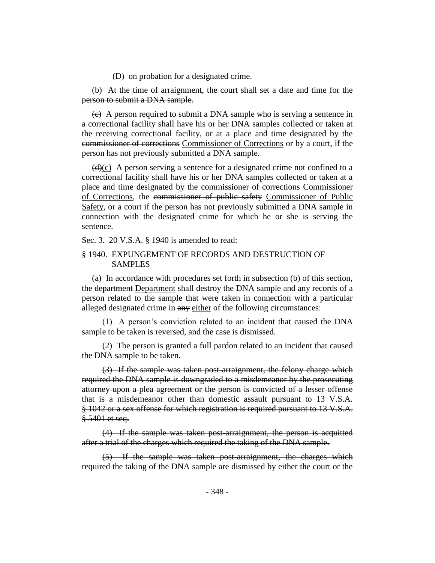(D) on probation for a designated crime.

(b) At the time of arraignment, the court shall set a date and time for the person to submit a DNA sample.

 $\left\langle \epsilon \right\rangle$  A person required to submit a DNA sample who is serving a sentence in a correctional facility shall have his or her DNA samples collected or taken at the receiving correctional facility, or at a place and time designated by the commissioner of corrections Commissioner of Corrections or by a court, if the person has not previously submitted a DNA sample.

 $(d)(c)$  A person serving a sentence for a designated crime not confined to a correctional facility shall have his or her DNA samples collected or taken at a place and time designated by the commissioner of corrections Commissioner of Corrections, the commissioner of public safety Commissioner of Public Safety, or a court if the person has not previously submitted a DNA sample in connection with the designated crime for which he or she is serving the sentence.

Sec. 3. 20 V.S.A. § 1940 is amended to read:

# § 1940. EXPUNGEMENT OF RECORDS AND DESTRUCTION OF SAMPLES

(a) In accordance with procedures set forth in subsection (b) of this section, the department Department shall destroy the DNA sample and any records of a person related to the sample that were taken in connection with a particular alleged designated crime in any either of the following circumstances:

(1) A person's conviction related to an incident that caused the DNA sample to be taken is reversed, and the case is dismissed.

(2) The person is granted a full pardon related to an incident that caused the DNA sample to be taken.

(3) If the sample was taken post-arraignment, the felony charge which required the DNA sample is downgraded to a misdemeanor by the prosecuting attorney upon a plea agreement or the person is convicted of a lesser offense that is a misdemeanor other than domestic assault pursuant to 13 V.S.A. § 1042 or a sex offense for which registration is required pursuant to 13 V.S.A. § 5401 et seq.

(4) If the sample was taken post-arraignment, the person is acquitted after a trial of the charges which required the taking of the DNA sample.

(5) If the sample was taken post-arraignment, the charges which required the taking of the DNA sample are dismissed by either the court or the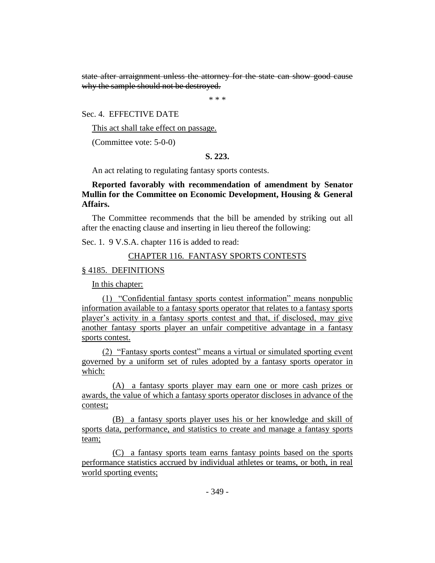state after arraignment unless the attorney for the state can show good cause why the sample should not be destroyed.

\* \* \*

Sec. 4. EFFECTIVE DATE

This act shall take effect on passage.

(Committee vote: 5-0-0)

# **S. 223.**

An act relating to regulating fantasy sports contests.

# **Reported favorably with recommendation of amendment by Senator Mullin for the Committee on Economic Development, Housing & General Affairs.**

The Committee recommends that the bill be amended by striking out all after the enacting clause and inserting in lieu thereof the following:

Sec. 1. 9 V.S.A. chapter 116 is added to read:

# CHAPTER 116. FANTASY SPORTS CONTESTS

# § 4185. DEFINITIONS

In this chapter:

(1) "Confidential fantasy sports contest information" means nonpublic information available to a fantasy sports operator that relates to a fantasy sports player's activity in a fantasy sports contest and that, if disclosed, may give another fantasy sports player an unfair competitive advantage in a fantasy sports contest.

(2) "Fantasy sports contest" means a virtual or simulated sporting event governed by a uniform set of rules adopted by a fantasy sports operator in which:

(A) a fantasy sports player may earn one or more cash prizes or awards, the value of which a fantasy sports operator discloses in advance of the contest;

(B) a fantasy sports player uses his or her knowledge and skill of sports data, performance, and statistics to create and manage a fantasy sports team;

(C) a fantasy sports team earns fantasy points based on the sports performance statistics accrued by individual athletes or teams, or both, in real world sporting events;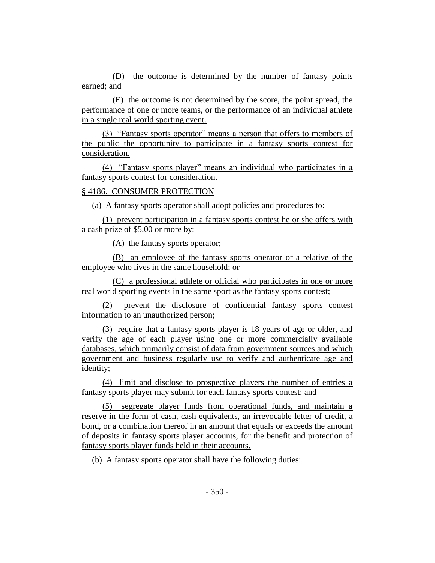(D) the outcome is determined by the number of fantasy points earned; and

(E) the outcome is not determined by the score, the point spread, the performance of one or more teams, or the performance of an individual athlete in a single real world sporting event.

(3) "Fantasy sports operator" means a person that offers to members of the public the opportunity to participate in a fantasy sports contest for consideration.

(4) "Fantasy sports player" means an individual who participates in a fantasy sports contest for consideration.

# § 4186. CONSUMER PROTECTION

(a) A fantasy sports operator shall adopt policies and procedures to:

(1) prevent participation in a fantasy sports contest he or she offers with a cash prize of \$5.00 or more by:

(A) the fantasy sports operator;

(B) an employee of the fantasy sports operator or a relative of the employee who lives in the same household; or

(C) a professional athlete or official who participates in one or more real world sporting events in the same sport as the fantasy sports contest;

(2) prevent the disclosure of confidential fantasy sports contest information to an unauthorized person;

(3) require that a fantasy sports player is 18 years of age or older, and verify the age of each player using one or more commercially available databases, which primarily consist of data from government sources and which government and business regularly use to verify and authenticate age and identity;

(4) limit and disclose to prospective players the number of entries a fantasy sports player may submit for each fantasy sports contest; and

(5) segregate player funds from operational funds, and maintain a reserve in the form of cash, cash equivalents, an irrevocable letter of credit, a bond, or a combination thereof in an amount that equals or exceeds the amount of deposits in fantasy sports player accounts, for the benefit and protection of fantasy sports player funds held in their accounts.

(b) A fantasy sports operator shall have the following duties: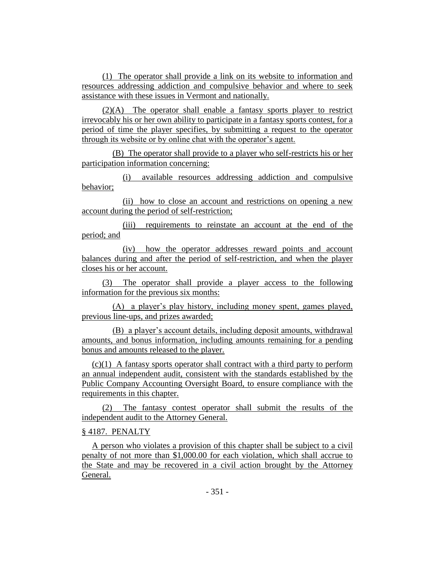(1) The operator shall provide a link on its website to information and resources addressing addiction and compulsive behavior and where to seek assistance with these issues in Vermont and nationally.

(2)(A) The operator shall enable a fantasy sports player to restrict irrevocably his or her own ability to participate in a fantasy sports contest, for a period of time the player specifies, by submitting a request to the operator through its website or by online chat with the operator's agent.

(B) The operator shall provide to a player who self-restricts his or her participation information concerning:

(i) available resources addressing addiction and compulsive behavior;

(ii) how to close an account and restrictions on opening a new account during the period of self-restriction;

(iii) requirements to reinstate an account at the end of the period; and

(iv) how the operator addresses reward points and account balances during and after the period of self-restriction, and when the player closes his or her account.

(3) The operator shall provide a player access to the following information for the previous six months:

(A) a player's play history, including money spent, games played, previous line-ups, and prizes awarded;

(B) a player's account details, including deposit amounts, withdrawal amounts, and bonus information, including amounts remaining for a pending bonus and amounts released to the player.

(c)(1) A fantasy sports operator shall contract with a third party to perform an annual independent audit, consistent with the standards established by the Public Company Accounting Oversight Board, to ensure compliance with the requirements in this chapter.

(2) The fantasy contest operator shall submit the results of the independent audit to the Attorney General.

# § 4187. PENALTY

A person who violates a provision of this chapter shall be subject to a civil penalty of not more than \$1,000.00 for each violation, which shall accrue to the State and may be recovered in a civil action brought by the Attorney General.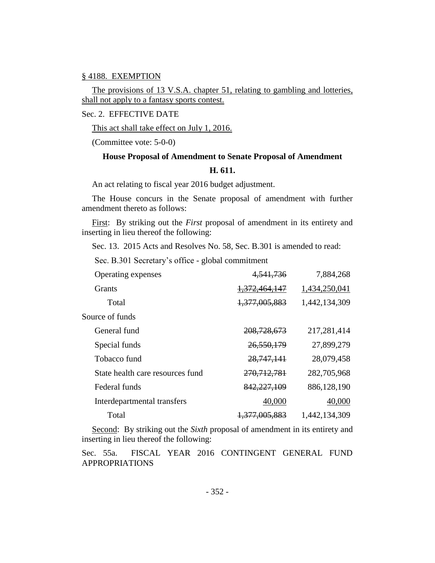#### § 4188. EXEMPTION

The provisions of 13 V.S.A. chapter 51, relating to gambling and lotteries, shall not apply to a fantasy sports contest.

Sec. 2. EFFECTIVE DATE

This act shall take effect on July 1, 2016.

(Committee vote: 5-0-0)

# **House Proposal of Amendment to Senate Proposal of Amendment H. 611.**

An act relating to fiscal year 2016 budget adjustment.

The House concurs in the Senate proposal of amendment with further amendment thereto as follows:

First: By striking out the *First* proposal of amendment in its entirety and inserting in lieu thereof the following:

Sec. 13. 2015 Acts and Resolves No. 58, Sec. B.301 is amended to read:

Sec. B.301 Secretary's office - global commitment

| Operating expenses               | 4,541,736                | 7,884,268     |
|----------------------------------|--------------------------|---------------|
| <b>Grants</b>                    | 1,372,464,147            | 1,434,250,041 |
| Total                            | 1,377,005,883            | 1,442,134,309 |
| Source of funds                  |                          |               |
| General fund                     | 208, 728, 673            | 217,281,414   |
| Special funds                    | 26,550,179               | 27,899,279    |
| Tobacco fund                     | 28, 747, 141             | 28,079,458    |
| State health care resources fund | 270, 712, 781            | 282,705,968   |
| Federal funds                    | 842,227,109              | 886,128,190   |
| Interdepartmental transfers      | 40,000                   | 40,000        |
| Total                            | <del>1,377,005,883</del> | 1,442,134,309 |

Second: By striking out the *Sixth* proposal of amendment in its entirety and inserting in lieu thereof the following:

Sec. 55a. FISCAL YEAR 2016 CONTINGENT GENERAL FUND APPROPRIATIONS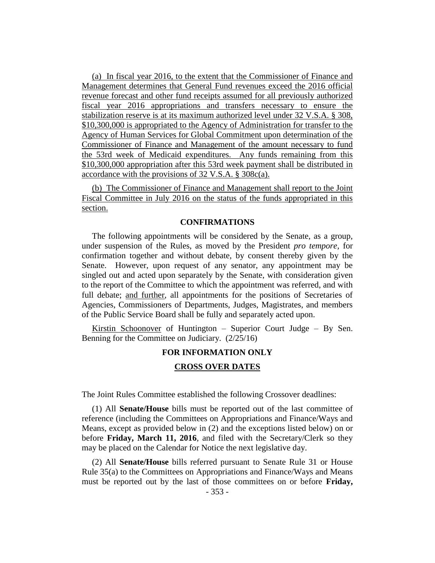(a) In fiscal year 2016, to the extent that the Commissioner of Finance and Management determines that General Fund revenues exceed the 2016 official revenue forecast and other fund receipts assumed for all previously authorized fiscal year 2016 appropriations and transfers necessary to ensure the stabilization reserve is at its maximum authorized level under 32 V.S.A. § 308, \$10,300,000 is appropriated to the Agency of Administration for transfer to the Agency of Human Services for Global Commitment upon determination of the Commissioner of Finance and Management of the amount necessary to fund the 53rd week of Medicaid expenditures. Any funds remaining from this \$10,300,000 appropriation after this 53rd week payment shall be distributed in accordance with the provisions of 32 V.S.A. § 308c(a).

(b) The Commissioner of Finance and Management shall report to the Joint Fiscal Committee in July 2016 on the status of the funds appropriated in this section.

#### **CONFIRMATIONS**

The following appointments will be considered by the Senate, as a group, under suspension of the Rules, as moved by the President *pro tempore,* for confirmation together and without debate, by consent thereby given by the Senate. However, upon request of any senator, any appointment may be singled out and acted upon separately by the Senate, with consideration given to the report of the Committee to which the appointment was referred, and with full debate; and further, all appointments for the positions of Secretaries of Agencies, Commissioners of Departments, Judges, Magistrates, and members of the Public Service Board shall be fully and separately acted upon.

Kirstin Schoonover of Huntington – Superior Court Judge – By Sen. Benning for the Committee on Judiciary. (2/25/16)

# **FOR INFORMATION ONLY**

#### **CROSS OVER DATES**

The Joint Rules Committee established the following Crossover deadlines:

(1) All **Senate/House** bills must be reported out of the last committee of reference (including the Committees on Appropriations and Finance/Ways and Means, except as provided below in (2) and the exceptions listed below) on or before **Friday, March 11, 2016**, and filed with the Secretary/Clerk so they may be placed on the Calendar for Notice the next legislative day.

(2) All **Senate/House** bills referred pursuant to Senate Rule 31 or House Rule 35(a) to the Committees on Appropriations and Finance/Ways and Means must be reported out by the last of those committees on or before **Friday,**